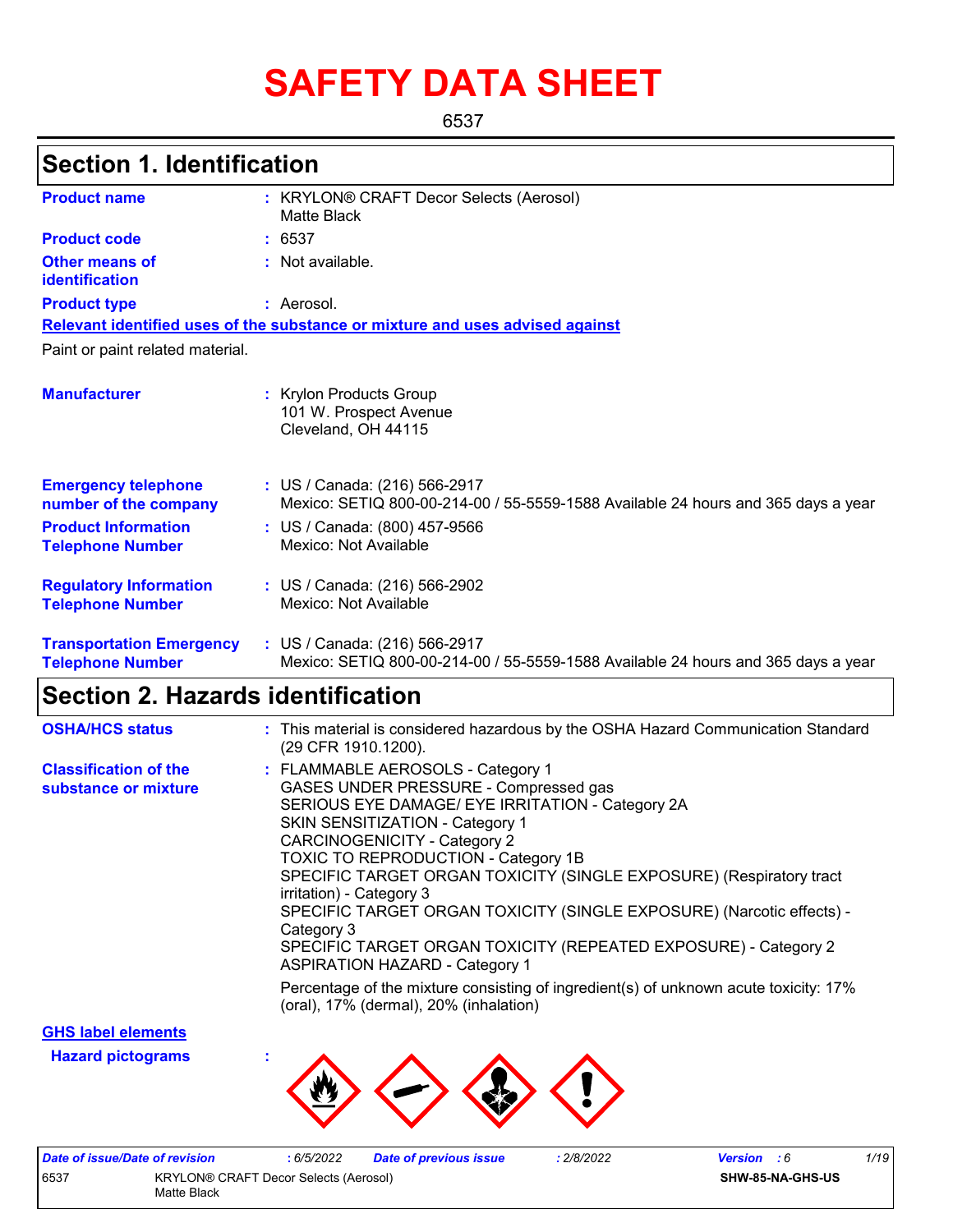# **SAFETY DATA SHEET**

6537

## **Section 1. Identification**

| <b>Product name</b>                                        | : KRYLON® CRAFT Decor Selects (Aerosol)<br>Matte Black                                                             |
|------------------------------------------------------------|--------------------------------------------------------------------------------------------------------------------|
| <b>Product code</b>                                        | : 6537                                                                                                             |
| <b>Other means of</b><br>identification                    | : Not available.                                                                                                   |
| <b>Product type</b>                                        | : Aerosol.                                                                                                         |
|                                                            | Relevant identified uses of the substance or mixture and uses advised against                                      |
| Paint or paint related material.                           |                                                                                                                    |
| <b>Manufacturer</b>                                        | : Krylon Products Group<br>101 W. Prospect Avenue<br>Cleveland, OH 44115                                           |
| <b>Emergency telephone</b><br>number of the company        | : US / Canada: (216) 566-2917<br>Mexico: SETIQ 800-00-214-00 / 55-5559-1588 Available 24 hours and 365 days a year |
| <b>Product Information</b><br><b>Telephone Number</b>      | : US / Canada: (800) 457-9566<br>Mexico: Not Available                                                             |
| <b>Regulatory Information</b><br><b>Telephone Number</b>   | : US / Canada: (216) 566-2902<br>Mexico: Not Available                                                             |
| <b>Transportation Emergency</b><br><b>Telephone Number</b> | : US / Canada: (216) 566-2917<br>Mexico: SETIQ 800-00-214-00 / 55-5559-1588 Available 24 hours and 365 days a year |

## **Section 2. Hazards identification**

| <b>OSHA/HCS status</b>                               | : This material is considered hazardous by the OSHA Hazard Communication Standard<br>(29 CFR 1910.1200).                                                                                                                                                                                                                                                                                                                                                                                                                                                     |
|------------------------------------------------------|--------------------------------------------------------------------------------------------------------------------------------------------------------------------------------------------------------------------------------------------------------------------------------------------------------------------------------------------------------------------------------------------------------------------------------------------------------------------------------------------------------------------------------------------------------------|
| <b>Classification of the</b><br>substance or mixture | : FLAMMABLE AEROSOLS - Category 1<br>GASES UNDER PRESSURE - Compressed gas<br>SERIOUS EYE DAMAGE/ EYE IRRITATION - Category 2A<br><b>SKIN SENSITIZATION - Category 1</b><br>CARCINOGENICITY - Category 2<br><b>TOXIC TO REPRODUCTION - Category 1B</b><br>SPECIFIC TARGET ORGAN TOXICITY (SINGLE EXPOSURE) (Respiratory tract<br>irritation) - Category 3<br>SPECIFIC TARGET ORGAN TOXICITY (SINGLE EXPOSURE) (Narcotic effects) -<br>Category 3<br>SPECIFIC TARGET ORGAN TOXICITY (REPEATED EXPOSURE) - Category 2<br><b>ASPIRATION HAZARD - Category 1</b> |
|                                                      | Percentage of the mixture consisting of ingredient(s) of unknown acute toxicity: 17%<br>(oral), 17% (dermal), 20% (inhalation)                                                                                                                                                                                                                                                                                                                                                                                                                               |

**GHS label elements**

**Hazard pictograms :**



| Date of issue/Date of revision |                                       | : 6/5/2022 | <b>Date of previous issue</b> | 2/8/2022 | <b>Version</b> : 6 | 1/19 |
|--------------------------------|---------------------------------------|------------|-------------------------------|----------|--------------------|------|
| 6537                           | KRYLON® CRAFT Decor Selects (Aerosol) |            |                               |          | SHW-85-NA-GHS-US   |      |
|                                | Matte Black                           |            |                               |          |                    |      |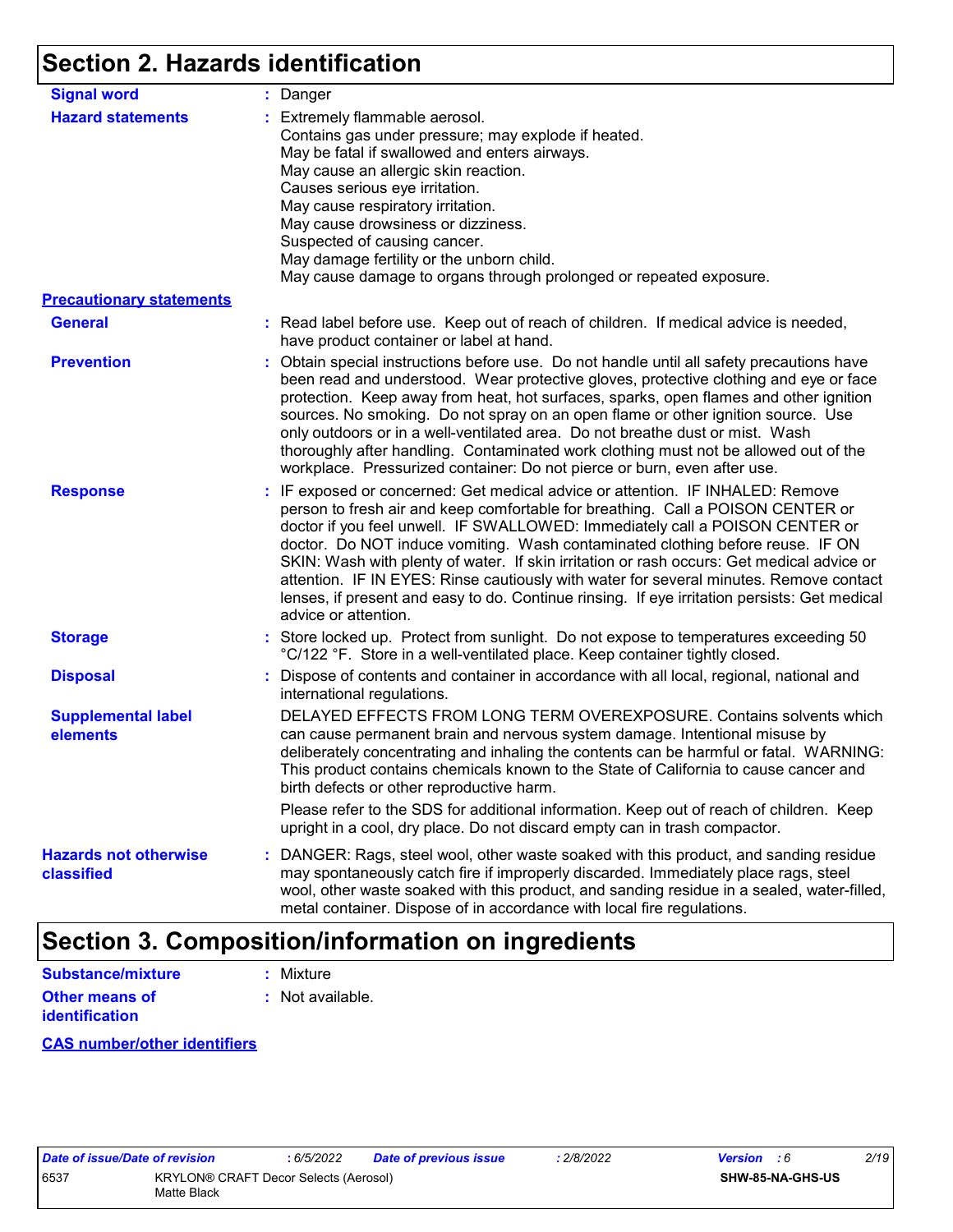## **Section 2. Hazards identification**

| <b>Signal word</b>                         | : Danger                                                                                                                                                                                                                                                                                                                                                                                                                                                                                                                                                                                                                                           |
|--------------------------------------------|----------------------------------------------------------------------------------------------------------------------------------------------------------------------------------------------------------------------------------------------------------------------------------------------------------------------------------------------------------------------------------------------------------------------------------------------------------------------------------------------------------------------------------------------------------------------------------------------------------------------------------------------------|
| <b>Hazard statements</b>                   | : Extremely flammable aerosol.<br>Contains gas under pressure; may explode if heated.<br>May be fatal if swallowed and enters airways.<br>May cause an allergic skin reaction.<br>Causes serious eye irritation.<br>May cause respiratory irritation.<br>May cause drowsiness or dizziness.<br>Suspected of causing cancer.<br>May damage fertility or the unborn child.<br>May cause damage to organs through prolonged or repeated exposure.                                                                                                                                                                                                     |
| <b>Precautionary statements</b>            |                                                                                                                                                                                                                                                                                                                                                                                                                                                                                                                                                                                                                                                    |
| <b>General</b>                             | : Read label before use. Keep out of reach of children. If medical advice is needed,<br>have product container or label at hand.                                                                                                                                                                                                                                                                                                                                                                                                                                                                                                                   |
| <b>Prevention</b>                          | : Obtain special instructions before use. Do not handle until all safety precautions have<br>been read and understood. Wear protective gloves, protective clothing and eye or face<br>protection. Keep away from heat, hot surfaces, sparks, open flames and other ignition<br>sources. No smoking. Do not spray on an open flame or other ignition source. Use<br>only outdoors or in a well-ventilated area. Do not breathe dust or mist. Wash<br>thoroughly after handling. Contaminated work clothing must not be allowed out of the<br>workplace. Pressurized container: Do not pierce or burn, even after use.                               |
| <b>Response</b>                            | : IF exposed or concerned: Get medical advice or attention. IF INHALED: Remove<br>person to fresh air and keep comfortable for breathing. Call a POISON CENTER or<br>doctor if you feel unwell. IF SWALLOWED: Immediately call a POISON CENTER or<br>doctor. Do NOT induce vomiting. Wash contaminated clothing before reuse. IF ON<br>SKIN: Wash with plenty of water. If skin irritation or rash occurs: Get medical advice or<br>attention. IF IN EYES: Rinse cautiously with water for several minutes. Remove contact<br>lenses, if present and easy to do. Continue rinsing. If eye irritation persists: Get medical<br>advice or attention. |
| <b>Storage</b>                             | : Store locked up. Protect from sunlight. Do not expose to temperatures exceeding 50<br>°C/122 °F. Store in a well-ventilated place. Keep container tightly closed.                                                                                                                                                                                                                                                                                                                                                                                                                                                                                |
| <b>Disposal</b>                            | : Dispose of contents and container in accordance with all local, regional, national and<br>international regulations.                                                                                                                                                                                                                                                                                                                                                                                                                                                                                                                             |
| <b>Supplemental label</b><br>elements      | DELAYED EFFECTS FROM LONG TERM OVEREXPOSURE. Contains solvents which<br>can cause permanent brain and nervous system damage. Intentional misuse by<br>deliberately concentrating and inhaling the contents can be harmful or fatal. WARNING:<br>This product contains chemicals known to the State of California to cause cancer and<br>birth defects or other reproductive harm.                                                                                                                                                                                                                                                                  |
|                                            | Please refer to the SDS for additional information. Keep out of reach of children. Keep<br>upright in a cool, dry place. Do not discard empty can in trash compactor.                                                                                                                                                                                                                                                                                                                                                                                                                                                                              |
| <b>Hazards not otherwise</b><br>classified | : DANGER: Rags, steel wool, other waste soaked with this product, and sanding residue<br>may spontaneously catch fire if improperly discarded. Immediately place rags, steel<br>wool, other waste soaked with this product, and sanding residue in a sealed, water-filled,<br>metal container. Dispose of in accordance with local fire regulations.                                                                                                                                                                                                                                                                                               |

## **Section 3. Composition/information on ingredients**

| Substance/mixture     | : Mixture        |
|-----------------------|------------------|
| <b>Other means of</b> | : Not available. |
| <b>identification</b> |                  |

#### **CAS number/other identifiers**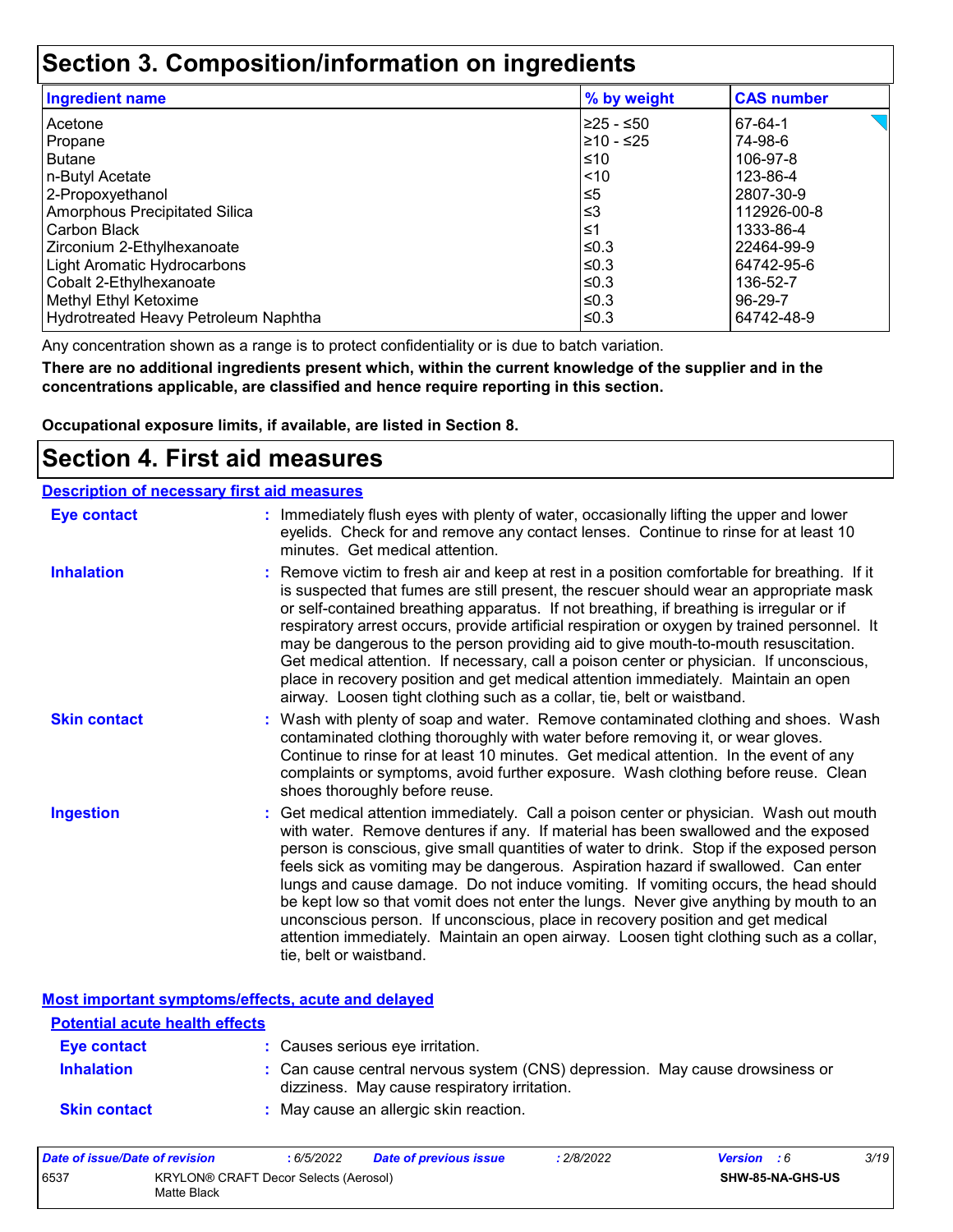## **Section 3. Composition/information on ingredients**

| <b>Ingredient name</b>               | % by weight | <b>CAS number</b> |
|--------------------------------------|-------------|-------------------|
| Acetone                              | I≥25 - ≤50  | 67-64-1           |
| Propane                              | 210 - ≤25   | 74-98-6           |
| <b>Butane</b>                        | $\leq 10$   | 106-97-8          |
| n-Butyl Acetate                      | $\leq 10$   | 123-86-4          |
| 2-Propoxyethanol                     | ≤5          | 2807-30-9         |
| Amorphous Precipitated Silica        | ∣≤3         | 112926-00-8       |
| Carbon Black                         | 1≥ا         | 1333-86-4         |
| Zirconium 2-Ethylhexanoate           | l≤0.3       | 22464-99-9        |
| Light Aromatic Hydrocarbons          | $\leq$ 0.3  | 64742-95-6        |
| Cobalt 2-Ethylhexanoate              | l≤0.3       | 136-52-7          |
| Methyl Ethyl Ketoxime                | $\leq$ 0.3  | 96-29-7           |
| Hydrotreated Heavy Petroleum Naphtha | l≤0.3       | 64742-48-9        |

Any concentration shown as a range is to protect confidentiality or is due to batch variation.

**There are no additional ingredients present which, within the current knowledge of the supplier and in the concentrations applicable, are classified and hence require reporting in this section.**

**Occupational exposure limits, if available, are listed in Section 8.**

### **Section 4. First aid measures**

| <b>Description of necessary first aid measures</b> |                                                                                                                                                                                                                                                                                                                                                                                                                                                                                                                                                                                                                                                                                                                                                         |
|----------------------------------------------------|---------------------------------------------------------------------------------------------------------------------------------------------------------------------------------------------------------------------------------------------------------------------------------------------------------------------------------------------------------------------------------------------------------------------------------------------------------------------------------------------------------------------------------------------------------------------------------------------------------------------------------------------------------------------------------------------------------------------------------------------------------|
| <b>Eye contact</b>                                 | : Immediately flush eyes with plenty of water, occasionally lifting the upper and lower<br>eyelids. Check for and remove any contact lenses. Continue to rinse for at least 10<br>minutes. Get medical attention.                                                                                                                                                                                                                                                                                                                                                                                                                                                                                                                                       |
| <b>Inhalation</b>                                  | : Remove victim to fresh air and keep at rest in a position comfortable for breathing. If it<br>is suspected that fumes are still present, the rescuer should wear an appropriate mask<br>or self-contained breathing apparatus. If not breathing, if breathing is irregular or if<br>respiratory arrest occurs, provide artificial respiration or oxygen by trained personnel. It<br>may be dangerous to the person providing aid to give mouth-to-mouth resuscitation.<br>Get medical attention. If necessary, call a poison center or physician. If unconscious,<br>place in recovery position and get medical attention immediately. Maintain an open<br>airway. Loosen tight clothing such as a collar, tie, belt or waistband.                    |
| <b>Skin contact</b>                                | : Wash with plenty of soap and water. Remove contaminated clothing and shoes. Wash<br>contaminated clothing thoroughly with water before removing it, or wear gloves.<br>Continue to rinse for at least 10 minutes. Get medical attention. In the event of any<br>complaints or symptoms, avoid further exposure. Wash clothing before reuse. Clean<br>shoes thoroughly before reuse.                                                                                                                                                                                                                                                                                                                                                                   |
| <b>Ingestion</b>                                   | : Get medical attention immediately. Call a poison center or physician. Wash out mouth<br>with water. Remove dentures if any. If material has been swallowed and the exposed<br>person is conscious, give small quantities of water to drink. Stop if the exposed person<br>feels sick as vomiting may be dangerous. Aspiration hazard if swallowed. Can enter<br>lungs and cause damage. Do not induce vomiting. If vomiting occurs, the head should<br>be kept low so that vomit does not enter the lungs. Never give anything by mouth to an<br>unconscious person. If unconscious, place in recovery position and get medical<br>attention immediately. Maintain an open airway. Loosen tight clothing such as a collar,<br>tie, belt or waistband. |

**Most important symptoms/effects, acute and delayed**

| <u>noot miliot turit of miliotomoronol uouto umu uomi ou</u><br><b>Potential acute health effects</b> |                                                                                                                              |  |
|-------------------------------------------------------------------------------------------------------|------------------------------------------------------------------------------------------------------------------------------|--|
| <b>Eye contact</b>                                                                                    | : Causes serious eye irritation.                                                                                             |  |
| <b>Inhalation</b>                                                                                     | : Can cause central nervous system (CNS) depression. May cause drowsiness or<br>dizziness. May cause respiratory irritation. |  |
| <b>Skin contact</b>                                                                                   | : May cause an allergic skin reaction.                                                                                       |  |

| Date of issue/Date of revision |                                                      | 6/5/2022 | Date of previous issue | : 2/8/2022 | <b>Version</b> : 6 |                  | 3/19 |
|--------------------------------|------------------------------------------------------|----------|------------------------|------------|--------------------|------------------|------|
| 6537                           | KRYLON® CRAFT Decor Selects (Aerosol)<br>Matte Black |          |                        |            |                    | SHW-85-NA-GHS-US |      |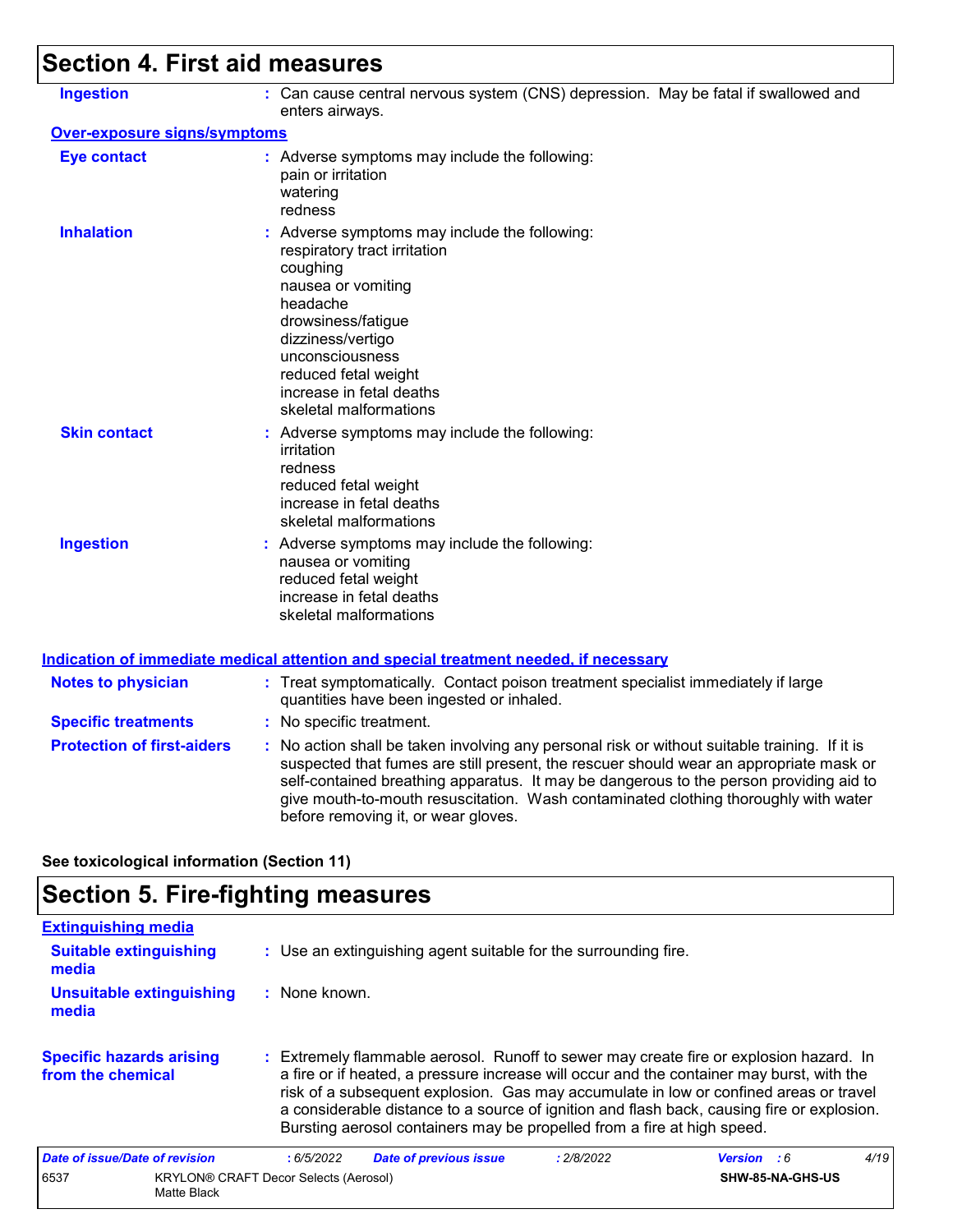## **Section 4. First aid measures**

| <b>Ingestion</b>                    | : Can cause central nervous system (CNS) depression. May be fatal if swallowed and<br>enters airways.                                                                                                                                                                                                                                                                                                           |
|-------------------------------------|-----------------------------------------------------------------------------------------------------------------------------------------------------------------------------------------------------------------------------------------------------------------------------------------------------------------------------------------------------------------------------------------------------------------|
| <b>Over-exposure signs/symptoms</b> |                                                                                                                                                                                                                                                                                                                                                                                                                 |
| <b>Eye contact</b>                  | : Adverse symptoms may include the following:<br>pain or irritation<br>watering<br>redness                                                                                                                                                                                                                                                                                                                      |
| <b>Inhalation</b>                   | : Adverse symptoms may include the following:<br>respiratory tract irritation<br>coughing<br>nausea or vomiting<br>headache<br>drowsiness/fatigue<br>dizziness/vertigo<br>unconsciousness<br>reduced fetal weight<br>increase in fetal deaths<br>skeletal malformations                                                                                                                                         |
| <b>Skin contact</b>                 | : Adverse symptoms may include the following:<br>irritation<br>redness<br>reduced fetal weight<br>increase in fetal deaths<br>skeletal malformations                                                                                                                                                                                                                                                            |
| <b>Ingestion</b>                    | : Adverse symptoms may include the following:<br>nausea or vomiting<br>reduced fetal weight<br>increase in fetal deaths<br>skeletal malformations                                                                                                                                                                                                                                                               |
|                                     | <b>Indication of immediate medical attention and special treatment needed, if necessary</b>                                                                                                                                                                                                                                                                                                                     |
| <b>Notes to physician</b>           | : Treat symptomatically. Contact poison treatment specialist immediately if large<br>quantities have been ingested or inhaled.                                                                                                                                                                                                                                                                                  |
| <b>Specific treatments</b>          | : No specific treatment.                                                                                                                                                                                                                                                                                                                                                                                        |
| <b>Protection of first-aiders</b>   | : No action shall be taken involving any personal risk or without suitable training. If it is<br>suspected that fumes are still present, the rescuer should wear an appropriate mask or<br>self-contained breathing apparatus. It may be dangerous to the person providing aid to<br>give mouth-to-mouth resuscitation. Wash contaminated clothing thoroughly with water<br>before removing it, or wear gloves. |

**See toxicological information (Section 11)**

## **Section 5. Fire-fighting measures**

| <b>Extinguishing media</b>                           |                                              |                                                                                                                                                                                                                                                                                                                                                                                                                                                       |            |                    |      |
|------------------------------------------------------|----------------------------------------------|-------------------------------------------------------------------------------------------------------------------------------------------------------------------------------------------------------------------------------------------------------------------------------------------------------------------------------------------------------------------------------------------------------------------------------------------------------|------------|--------------------|------|
| <b>Suitable extinguishing</b><br>media               |                                              | : Use an extinguishing agent suitable for the surrounding fire.                                                                                                                                                                                                                                                                                                                                                                                       |            |                    |      |
| <b>Unsuitable extinguishing</b><br>media             | : None known.                                |                                                                                                                                                                                                                                                                                                                                                                                                                                                       |            |                    |      |
| <b>Specific hazards arising</b><br>from the chemical |                                              | : Extremely flammable aerosol. Runoff to sewer may create fire or explosion hazard. In<br>a fire or if heated, a pressure increase will occur and the container may burst, with the<br>risk of a subsequent explosion. Gas may accumulate in low or confined areas or travel<br>a considerable distance to a source of ignition and flash back, causing fire or explosion.<br>Bursting aerosol containers may be propelled from a fire at high speed. |            |                    |      |
| Date of issue/Date of revision                       | :6/5/2022                                    | <b>Date of previous issue</b>                                                                                                                                                                                                                                                                                                                                                                                                                         | : 2/8/2022 | <b>Version</b> : 6 | 4/19 |
| 6537<br>Matte Black                                  | <b>KRYLON® CRAFT Decor Selects (Aerosol)</b> |                                                                                                                                                                                                                                                                                                                                                                                                                                                       |            | SHW-85-NA-GHS-US   |      |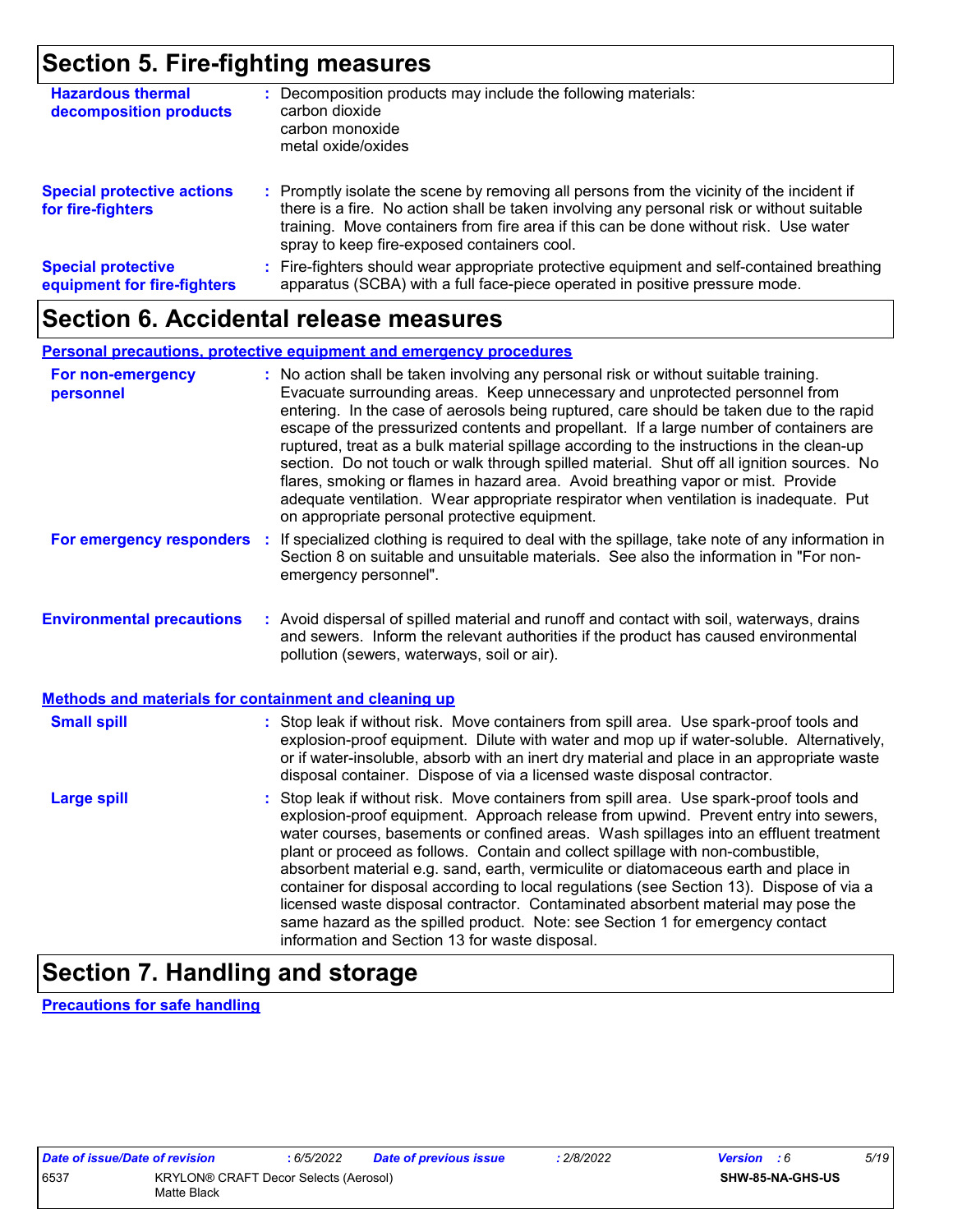## **Section 5. Fire-fighting measures**

| <b>Hazardous thermal</b><br>decomposition products       | Decomposition products may include the following materials:<br>carbon dioxide<br>carbon monoxide<br>metal oxide/oxides                                                                                                                                                                                                        |
|----------------------------------------------------------|-------------------------------------------------------------------------------------------------------------------------------------------------------------------------------------------------------------------------------------------------------------------------------------------------------------------------------|
| <b>Special protective actions</b><br>for fire-fighters   | : Promptly isolate the scene by removing all persons from the vicinity of the incident if<br>there is a fire. No action shall be taken involving any personal risk or without suitable<br>training. Move containers from fire area if this can be done without risk. Use water<br>spray to keep fire-exposed containers cool. |
| <b>Special protective</b><br>equipment for fire-fighters | Fire-fighters should wear appropriate protective equipment and self-contained breathing<br>apparatus (SCBA) with a full face-piece operated in positive pressure mode.                                                                                                                                                        |

### **Section 6. Accidental release measures**

#### **Personal precautions, protective equipment and emergency procedures**

| For non-emergency<br>personnel                               | : No action shall be taken involving any personal risk or without suitable training.<br>Evacuate surrounding areas. Keep unnecessary and unprotected personnel from<br>entering. In the case of aerosols being ruptured, care should be taken due to the rapid<br>escape of the pressurized contents and propellant. If a large number of containers are<br>ruptured, treat as a bulk material spillage according to the instructions in the clean-up<br>section. Do not touch or walk through spilled material. Shut off all ignition sources. No<br>flares, smoking or flames in hazard area. Avoid breathing vapor or mist. Provide<br>adequate ventilation. Wear appropriate respirator when ventilation is inadequate. Put<br>on appropriate personal protective equipment. |
|--------------------------------------------------------------|----------------------------------------------------------------------------------------------------------------------------------------------------------------------------------------------------------------------------------------------------------------------------------------------------------------------------------------------------------------------------------------------------------------------------------------------------------------------------------------------------------------------------------------------------------------------------------------------------------------------------------------------------------------------------------------------------------------------------------------------------------------------------------|
| For emergency responders                                     | : If specialized clothing is required to deal with the spillage, take note of any information in<br>Section 8 on suitable and unsuitable materials. See also the information in "For non-<br>emergency personnel".                                                                                                                                                                                                                                                                                                                                                                                                                                                                                                                                                               |
| <b>Environmental precautions</b>                             | : Avoid dispersal of spilled material and runoff and contact with soil, waterways, drains<br>and sewers. Inform the relevant authorities if the product has caused environmental<br>pollution (sewers, waterways, soil or air).                                                                                                                                                                                                                                                                                                                                                                                                                                                                                                                                                  |
| <b>Methods and materials for containment and cleaning up</b> |                                                                                                                                                                                                                                                                                                                                                                                                                                                                                                                                                                                                                                                                                                                                                                                  |
| <b>Small spill</b>                                           | : Stop leak if without risk. Move containers from spill area. Use spark-proof tools and<br>explosion-proof equipment. Dilute with water and mop up if water-soluble. Alternatively,<br>or if water-insoluble, absorb with an inert dry material and place in an appropriate waste<br>disposal container. Dispose of via a licensed waste disposal contractor.                                                                                                                                                                                                                                                                                                                                                                                                                    |
| <b>Large spill</b>                                           | : Stop leak if without risk. Move containers from spill area. Use spark-proof tools and<br>explosion-proof equipment. Approach release from upwind. Prevent entry into sewers,<br>water courses, basements or confined areas. Wash spillages into an effluent treatment<br>plant or proceed as follows. Contain and collect spillage with non-combustible,<br>absorbent material e.g. sand, earth, vermiculite or diatomaceous earth and place in<br>container for disposal according to local regulations (see Section 13). Dispose of via a<br>licensed waste disposal contractor. Contaminated absorbent material may pose the<br>same hazard as the spilled product. Note: see Section 1 for emergency contact<br>information and Section 13 for waste disposal.             |

## **Section 7. Handling and storage**

**Precautions for safe handling**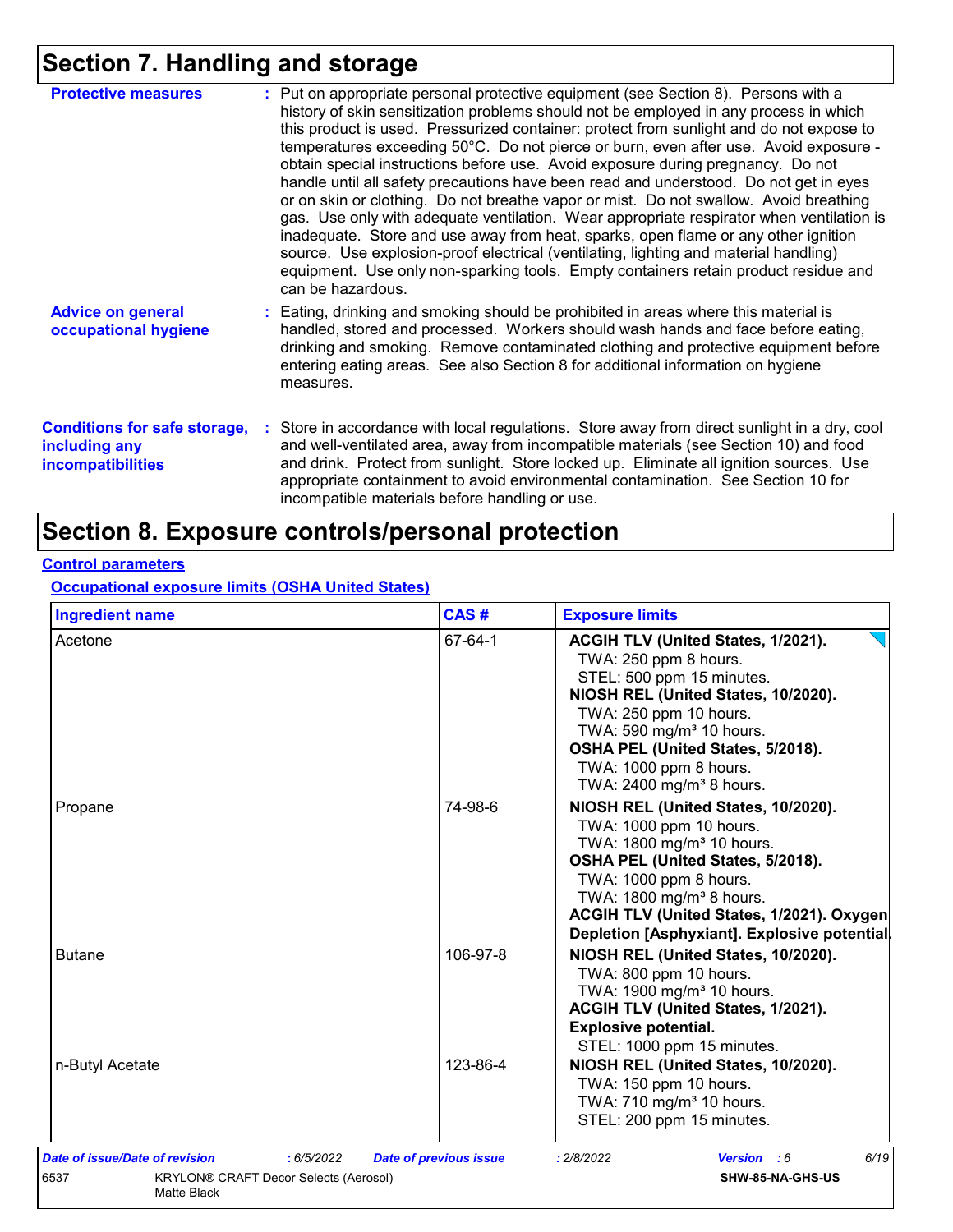## **Section 7. Handling and storage**

| <b>Protective measures</b>                                                       | : Put on appropriate personal protective equipment (see Section 8). Persons with a<br>history of skin sensitization problems should not be employed in any process in which<br>this product is used. Pressurized container: protect from sunlight and do not expose to<br>temperatures exceeding 50°C. Do not pierce or burn, even after use. Avoid exposure -<br>obtain special instructions before use. Avoid exposure during pregnancy. Do not<br>handle until all safety precautions have been read and understood. Do not get in eyes<br>or on skin or clothing. Do not breathe vapor or mist. Do not swallow. Avoid breathing<br>gas. Use only with adequate ventilation. Wear appropriate respirator when ventilation is<br>inadequate. Store and use away from heat, sparks, open flame or any other ignition<br>source. Use explosion-proof electrical (ventilating, lighting and material handling)<br>equipment. Use only non-sparking tools. Empty containers retain product residue and<br>can be hazardous. |
|----------------------------------------------------------------------------------|---------------------------------------------------------------------------------------------------------------------------------------------------------------------------------------------------------------------------------------------------------------------------------------------------------------------------------------------------------------------------------------------------------------------------------------------------------------------------------------------------------------------------------------------------------------------------------------------------------------------------------------------------------------------------------------------------------------------------------------------------------------------------------------------------------------------------------------------------------------------------------------------------------------------------------------------------------------------------------------------------------------------------|
| <b>Advice on general</b><br>occupational hygiene                                 | : Eating, drinking and smoking should be prohibited in areas where this material is<br>handled, stored and processed. Workers should wash hands and face before eating,<br>drinking and smoking. Remove contaminated clothing and protective equipment before<br>entering eating areas. See also Section 8 for additional information on hygiene<br>measures.                                                                                                                                                                                                                                                                                                                                                                                                                                                                                                                                                                                                                                                             |
| <b>Conditions for safe storage,</b><br>including any<br><b>incompatibilities</b> | : Store in accordance with local regulations. Store away from direct sunlight in a dry, cool<br>and well-ventilated area, away from incompatible materials (see Section 10) and food<br>and drink. Protect from sunlight. Store locked up. Eliminate all ignition sources. Use<br>appropriate containment to avoid environmental contamination. See Section 10 for<br>incompatible materials before handling or use.                                                                                                                                                                                                                                                                                                                                                                                                                                                                                                                                                                                                      |

## **Section 8. Exposure controls/personal protection**

#### **Control parameters**

**Occupational exposure limits (OSHA United States)**

| <b>Ingredient name</b>                                              | CAS#                          | <b>Exposure limits</b>                                                                                                                                                                                                                                                                                      |
|---------------------------------------------------------------------|-------------------------------|-------------------------------------------------------------------------------------------------------------------------------------------------------------------------------------------------------------------------------------------------------------------------------------------------------------|
| Acetone                                                             | 67-64-1                       | ACGIH TLV (United States, 1/2021).<br>TWA: 250 ppm 8 hours.<br>STEL: 500 ppm 15 minutes.<br>NIOSH REL (United States, 10/2020).<br>TWA: 250 ppm 10 hours.<br>TWA: 590 mg/m <sup>3</sup> 10 hours.<br>OSHA PEL (United States, 5/2018).<br>TWA: 1000 ppm 8 hours.<br>TWA: 2400 mg/m <sup>3</sup> 8 hours.    |
| Propane                                                             | 74-98-6                       | NIOSH REL (United States, 10/2020).<br>TWA: 1000 ppm 10 hours.<br>TWA: 1800 mg/m <sup>3</sup> 10 hours.<br>OSHA PEL (United States, 5/2018).<br>TWA: 1000 ppm 8 hours.<br>TWA: 1800 mg/m <sup>3</sup> 8 hours.<br>ACGIH TLV (United States, 1/2021). Oxygen<br>Depletion [Asphyxiant]. Explosive potential. |
| <b>Butane</b>                                                       | 106-97-8                      | NIOSH REL (United States, 10/2020).<br>TWA: 800 ppm 10 hours.<br>TWA: 1900 mg/m <sup>3</sup> 10 hours.<br>ACGIH TLV (United States, 1/2021).<br><b>Explosive potential.</b><br>STEL: 1000 ppm 15 minutes.                                                                                                   |
| n-Butyl Acetate                                                     | 123-86-4                      | NIOSH REL (United States, 10/2020).<br>TWA: 150 ppm 10 hours.<br>TWA: 710 mg/m <sup>3</sup> 10 hours.<br>STEL: 200 ppm 15 minutes.                                                                                                                                                                          |
| Date of issue/Date of revision<br>: 6/5/2022                        | <b>Date of previous issue</b> | 6/19<br>: 2/8/2022<br>Version : 6                                                                                                                                                                                                                                                                           |
| 6537<br><b>KRYLON® CRAFT Decor Selects (Aerosol)</b><br>Matte Black |                               | SHW-85-NA-GHS-US                                                                                                                                                                                                                                                                                            |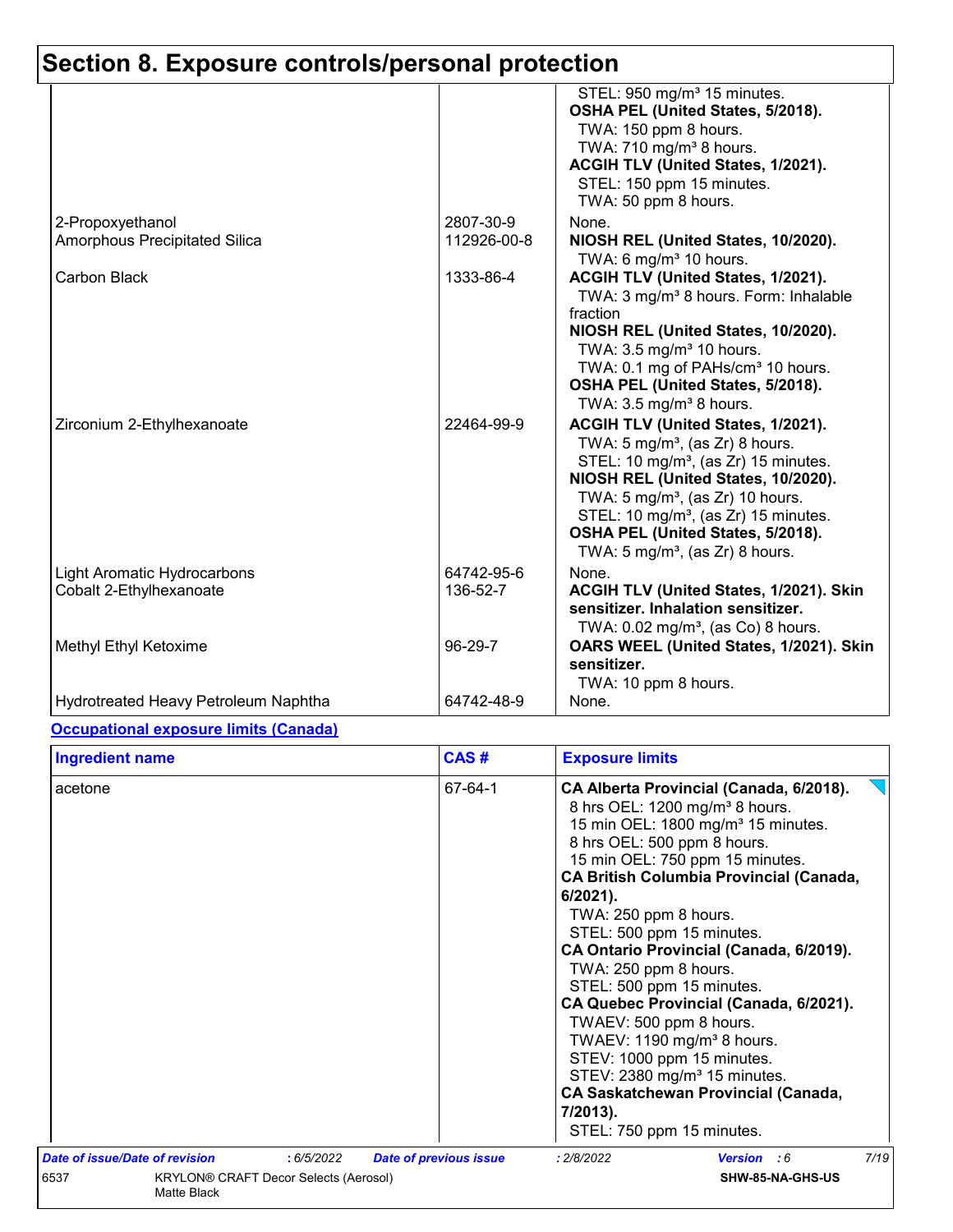|                                                               |                          | STEL: 950 mg/m <sup>3</sup> 15 minutes.<br>OSHA PEL (United States, 5/2018).<br>TWA: 150 ppm 8 hours.<br>TWA: 710 mg/m <sup>3</sup> 8 hours.<br>ACGIH TLV (United States, 1/2021).<br>STEL: 150 ppm 15 minutes.<br>TWA: 50 ppm 8 hours.                                                                                                                           |
|---------------------------------------------------------------|--------------------------|-------------------------------------------------------------------------------------------------------------------------------------------------------------------------------------------------------------------------------------------------------------------------------------------------------------------------------------------------------------------|
| 2-Propoxyethanol<br>Amorphous Precipitated Silica             | 2807-30-9<br>112926-00-8 | None.<br>NIOSH REL (United States, 10/2020).                                                                                                                                                                                                                                                                                                                      |
| <b>Carbon Black</b>                                           | 1333-86-4                | TWA: 6 mg/m $3$ 10 hours.<br>ACGIH TLV (United States, 1/2021).<br>TWA: 3 mg/m <sup>3</sup> 8 hours. Form: Inhalable<br>fraction<br>NIOSH REL (United States, 10/2020).<br>TWA: 3.5 mg/m <sup>3</sup> 10 hours.<br>TWA: 0.1 mg of PAHs/cm <sup>3</sup> 10 hours.<br>OSHA PEL (United States, 5/2018).<br>TWA: $3.5 \text{ mg/m}^3$ 8 hours.                       |
| Zirconium 2-Ethylhexanoate                                    | 22464-99-9               | ACGIH TLV (United States, 1/2021).<br>TWA: $5 \text{ mg/m}^3$ , (as Zr) 8 hours.<br>STEL: 10 mg/m <sup>3</sup> , (as Zr) 15 minutes.<br>NIOSH REL (United States, 10/2020).<br>TWA: $5 \text{ mg/m}^3$ , (as Zr) 10 hours.<br>STEL: 10 mg/m <sup>3</sup> , (as Zr) 15 minutes.<br>OSHA PEL (United States, 5/2018).<br>TWA: $5 \text{ mg/m}^3$ , (as Zr) 8 hours. |
| <b>Light Aromatic Hydrocarbons</b><br>Cobalt 2-Ethylhexanoate | 64742-95-6<br>136-52-7   | None.<br>ACGIH TLV (United States, 1/2021). Skin<br>sensitizer. Inhalation sensitizer.<br>TWA: $0.02$ mg/m <sup>3</sup> , (as Co) 8 hours.                                                                                                                                                                                                                        |
| Methyl Ethyl Ketoxime                                         | 96-29-7                  | OARS WEEL (United States, 1/2021). Skin<br>sensitizer.<br>TWA: 10 ppm 8 hours.                                                                                                                                                                                                                                                                                    |
| <b>Hydrotreated Heavy Petroleum Naphtha</b>                   | 64742-48-9               | None.                                                                                                                                                                                                                                                                                                                                                             |

#### **Occupational exposure limits (Canada)**

| CAS#<br><b>Ingredient name</b> |                                              |                               | <b>Exposure limits</b>                                                                                                                                                                                                                                                                                                                                                                                                                                                                                                                                                                                                                                                                                            |  |  |  |
|--------------------------------|----------------------------------------------|-------------------------------|-------------------------------------------------------------------------------------------------------------------------------------------------------------------------------------------------------------------------------------------------------------------------------------------------------------------------------------------------------------------------------------------------------------------------------------------------------------------------------------------------------------------------------------------------------------------------------------------------------------------------------------------------------------------------------------------------------------------|--|--|--|
| acetone                        |                                              | 67-64-1                       | CA Alberta Provincial (Canada, 6/2018).<br>8 hrs OEL: 1200 mg/m <sup>3</sup> 8 hours.<br>15 min OEL: 1800 mg/m <sup>3</sup> 15 minutes.<br>8 hrs OEL: 500 ppm 8 hours.<br>15 min OEL: 750 ppm 15 minutes.<br><b>CA British Columbia Provincial (Canada,</b><br>$6/2021$ ).<br>TWA: 250 ppm 8 hours.<br>STEL: 500 ppm 15 minutes.<br>CA Ontario Provincial (Canada, 6/2019).<br>TWA: 250 ppm 8 hours.<br>STEL: 500 ppm 15 minutes.<br>CA Quebec Provincial (Canada, 6/2021).<br>TWAEV: 500 ppm 8 hours.<br>TWAEV: 1190 mg/m <sup>3</sup> 8 hours.<br>STEV: 1000 ppm 15 minutes.<br>STEV: 2380 mg/m <sup>3</sup> 15 minutes.<br><b>CA Saskatchewan Provincial (Canada,</b><br>7/2013).<br>STEL: 750 ppm 15 minutes. |  |  |  |
| Date of issue/Date of revision | :6/5/2022                                    | <b>Date of previous issue</b> | 7/19<br>Version : 6<br>: 2/8/2022                                                                                                                                                                                                                                                                                                                                                                                                                                                                                                                                                                                                                                                                                 |  |  |  |
| 6537<br>Matte Black            | <b>KRYLON® CRAFT Decor Selects (Aerosol)</b> |                               | SHW-85-NA-GHS-US                                                                                                                                                                                                                                                                                                                                                                                                                                                                                                                                                                                                                                                                                                  |  |  |  |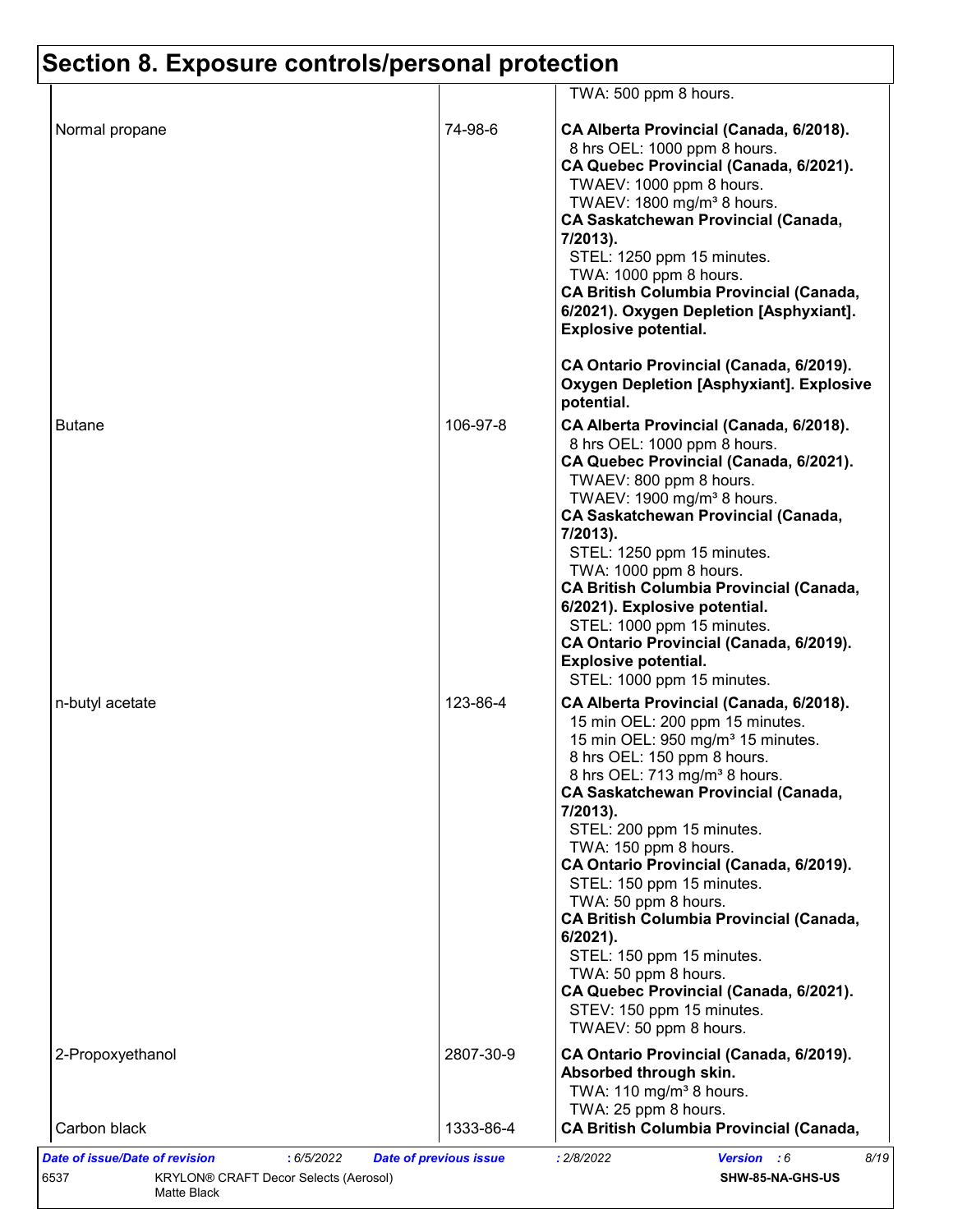|                  |           | TWA: 500 ppm 8 hours.                                                                                                                                                                                                                                                                                                                                                                                                                                                                                                                                                                                                                       |
|------------------|-----------|---------------------------------------------------------------------------------------------------------------------------------------------------------------------------------------------------------------------------------------------------------------------------------------------------------------------------------------------------------------------------------------------------------------------------------------------------------------------------------------------------------------------------------------------------------------------------------------------------------------------------------------------|
| Normal propane   | 74-98-6   | CA Alberta Provincial (Canada, 6/2018).<br>8 hrs OEL: 1000 ppm 8 hours.<br>CA Quebec Provincial (Canada, 6/2021).<br>TWAEV: 1000 ppm 8 hours.<br>TWAEV: 1800 mg/m <sup>3</sup> 8 hours.<br><b>CA Saskatchewan Provincial (Canada,</b><br>7/2013).<br>STEL: 1250 ppm 15 minutes.<br>TWA: 1000 ppm 8 hours.<br><b>CA British Columbia Provincial (Canada,</b><br>6/2021). Oxygen Depletion [Asphyxiant].<br><b>Explosive potential.</b>                                                                                                                                                                                                       |
|                  |           | CA Ontario Provincial (Canada, 6/2019).<br><b>Oxygen Depletion [Asphyxiant]. Explosive</b><br>potential.                                                                                                                                                                                                                                                                                                                                                                                                                                                                                                                                    |
| <b>Butane</b>    | 106-97-8  | CA Alberta Provincial (Canada, 6/2018).<br>8 hrs OEL: 1000 ppm 8 hours.<br>CA Quebec Provincial (Canada, 6/2021).<br>TWAEV: 800 ppm 8 hours.<br>TWAEV: 1900 mg/m <sup>3</sup> 8 hours.<br><b>CA Saskatchewan Provincial (Canada,</b><br>7/2013).<br>STEL: 1250 ppm 15 minutes.<br>TWA: 1000 ppm 8 hours.<br><b>CA British Columbia Provincial (Canada,</b><br>6/2021). Explosive potential.<br>STEL: 1000 ppm 15 minutes.<br>CA Ontario Provincial (Canada, 6/2019).<br><b>Explosive potential.</b><br>STEL: 1000 ppm 15 minutes.                                                                                                           |
| n-butyl acetate  | 123-86-4  | CA Alberta Provincial (Canada, 6/2018).<br>15 min OEL: 200 ppm 15 minutes.<br>15 min OEL: 950 mg/m <sup>3</sup> 15 minutes.<br>8 hrs OEL: 150 ppm 8 hours.<br>8 hrs OEL: 713 mg/m <sup>3</sup> 8 hours.<br><b>CA Saskatchewan Provincial (Canada,</b><br>7/2013).<br>STEL: 200 ppm 15 minutes.<br>TWA: 150 ppm 8 hours.<br>CA Ontario Provincial (Canada, 6/2019).<br>STEL: 150 ppm 15 minutes.<br>TWA: 50 ppm 8 hours.<br><b>CA British Columbia Provincial (Canada,</b><br>6/2021).<br>STEL: 150 ppm 15 minutes.<br>TWA: 50 ppm 8 hours.<br>CA Quebec Provincial (Canada, 6/2021).<br>STEV: 150 ppm 15 minutes.<br>TWAEV: 50 ppm 8 hours. |
| 2-Propoxyethanol | 2807-30-9 | CA Ontario Provincial (Canada, 6/2019).<br>Absorbed through skin.<br>TWA: 110 mg/m <sup>3</sup> 8 hours.                                                                                                                                                                                                                                                                                                                                                                                                                                                                                                                                    |
| Carbon black     | 1333-86-4 | TWA: 25 ppm 8 hours.<br><b>CA British Columbia Provincial (Canada,</b>                                                                                                                                                                                                                                                                                                                                                                                                                                                                                                                                                                      |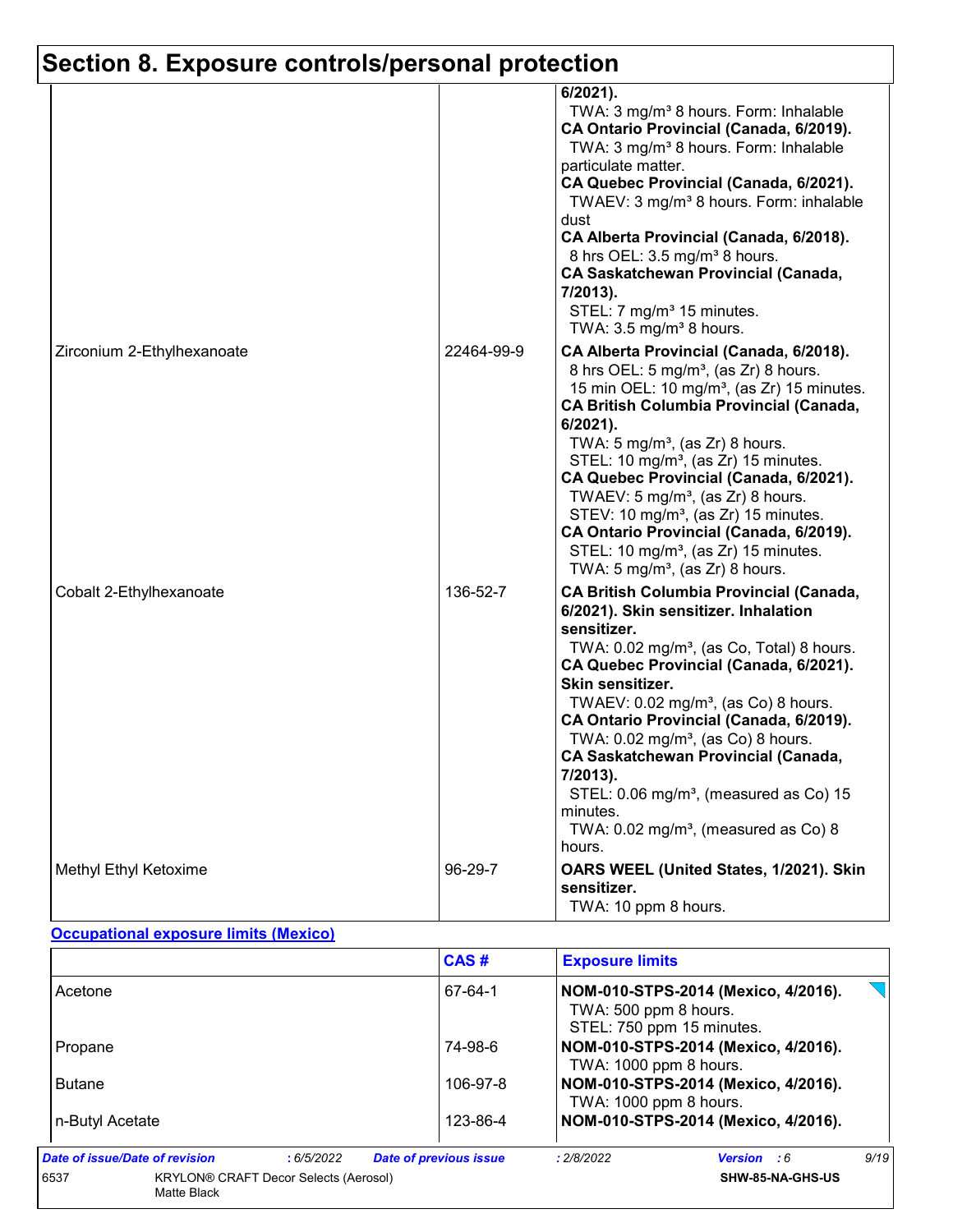|                            |            | 6/2021).<br>TWA: 3 mg/m <sup>3</sup> 8 hours. Form: Inhalable<br>CA Ontario Provincial (Canada, 6/2019).<br>TWA: 3 mg/m <sup>3</sup> 8 hours. Form: Inhalable<br>particulate matter.<br>CA Quebec Provincial (Canada, 6/2021).<br>TWAEV: 3 mg/m <sup>3</sup> 8 hours. Form: inhalable<br>dust<br>CA Alberta Provincial (Canada, 6/2018).<br>8 hrs OEL: 3.5 mg/m <sup>3</sup> 8 hours.<br><b>CA Saskatchewan Provincial (Canada,</b><br>7/2013).<br>STEL: 7 mg/m <sup>3</sup> 15 minutes.<br>TWA: $3.5 \text{ mg/m}^3$ 8 hours.                                                                                         |
|----------------------------|------------|------------------------------------------------------------------------------------------------------------------------------------------------------------------------------------------------------------------------------------------------------------------------------------------------------------------------------------------------------------------------------------------------------------------------------------------------------------------------------------------------------------------------------------------------------------------------------------------------------------------------|
| Zirconium 2-Ethylhexanoate | 22464-99-9 | CA Alberta Provincial (Canada, 6/2018).<br>8 hrs OEL: 5 mg/m <sup>3</sup> , (as Zr) 8 hours.<br>15 min OEL: 10 mg/m <sup>3</sup> , (as Zr) 15 minutes.<br><b>CA British Columbia Provincial (Canada,</b><br>6/2021).<br>TWA: $5 \text{ mg/m}^3$ , (as Zr) 8 hours.<br>STEL: 10 mg/m <sup>3</sup> , (as Zr) 15 minutes.<br>CA Quebec Provincial (Canada, 6/2021).<br>TWAEV: 5 mg/m <sup>3</sup> , (as $Zr$ ) 8 hours.<br>STEV: 10 mg/m <sup>3</sup> , (as Zr) 15 minutes.<br>CA Ontario Provincial (Canada, 6/2019).<br>STEL: 10 mg/m <sup>3</sup> , (as Zr) 15 minutes.<br>TWA: 5 mg/m <sup>3</sup> , (as Zr) 8 hours. |
| Cobalt 2-Ethylhexanoate    | 136-52-7   | <b>CA British Columbia Provincial (Canada,</b><br>6/2021). Skin sensitizer. Inhalation<br>sensitizer.<br>TWA: 0.02 mg/m <sup>3</sup> , (as Co, Total) 8 hours.<br>CA Quebec Provincial (Canada, 6/2021).<br>Skin sensitizer.<br>TWAEV: 0.02 mg/m <sup>3</sup> , (as Co) 8 hours.<br>CA Ontario Provincial (Canada, 6/2019).<br>TWA: $0.02$ mg/m <sup>3</sup> , (as Co) 8 hours.<br><b>CA Saskatchewan Provincial (Canada,</b><br>7/2013).<br>STEL: 0.06 mg/m <sup>3</sup> , (measured as Co) 15<br>minutes.<br>TWA: 0.02 mg/m <sup>3</sup> , (measured as Co) 8<br>hours.                                              |
| Methyl Ethyl Ketoxime      | 96-29-7    | OARS WEEL (United States, 1/2021). Skin<br>sensitizer.<br>TWA: 10 ppm 8 hours.                                                                                                                                                                                                                                                                                                                                                                                                                                                                                                                                         |

#### **Occupational exposure limits (Mexico)**

|                                |                                              | CAS#                          | <b>Exposure limits</b> |                                                                  |      |
|--------------------------------|----------------------------------------------|-------------------------------|------------------------|------------------------------------------------------------------|------|
| Acetone                        |                                              | 67-64-1                       | TWA: 500 ppm 8 hours.  | NOM-010-STPS-2014 (Mexico, 4/2016).<br>STEL: 750 ppm 15 minutes. |      |
| Propane                        |                                              | 74-98-6                       | TWA: 1000 ppm 8 hours. | NOM-010-STPS-2014 (Mexico, 4/2016).                              |      |
| <b>Butane</b>                  |                                              | 106-97-8                      | TWA: 1000 ppm 8 hours. | NOM-010-STPS-2014 (Mexico, 4/2016).                              |      |
| n-Butyl Acetate                |                                              | 123-86-4                      |                        | NOM-010-STPS-2014 (Mexico, 4/2016).                              |      |
| Date of issue/Date of revision | :6/5/2022                                    | <b>Date of previous issue</b> | : 2/8/2022             | <b>Version</b> : 6                                               | 9/19 |
| 6537<br>Matte Black            | <b>KRYLON® CRAFT Decor Selects (Aerosol)</b> |                               |                        | SHW-85-NA-GHS-US                                                 |      |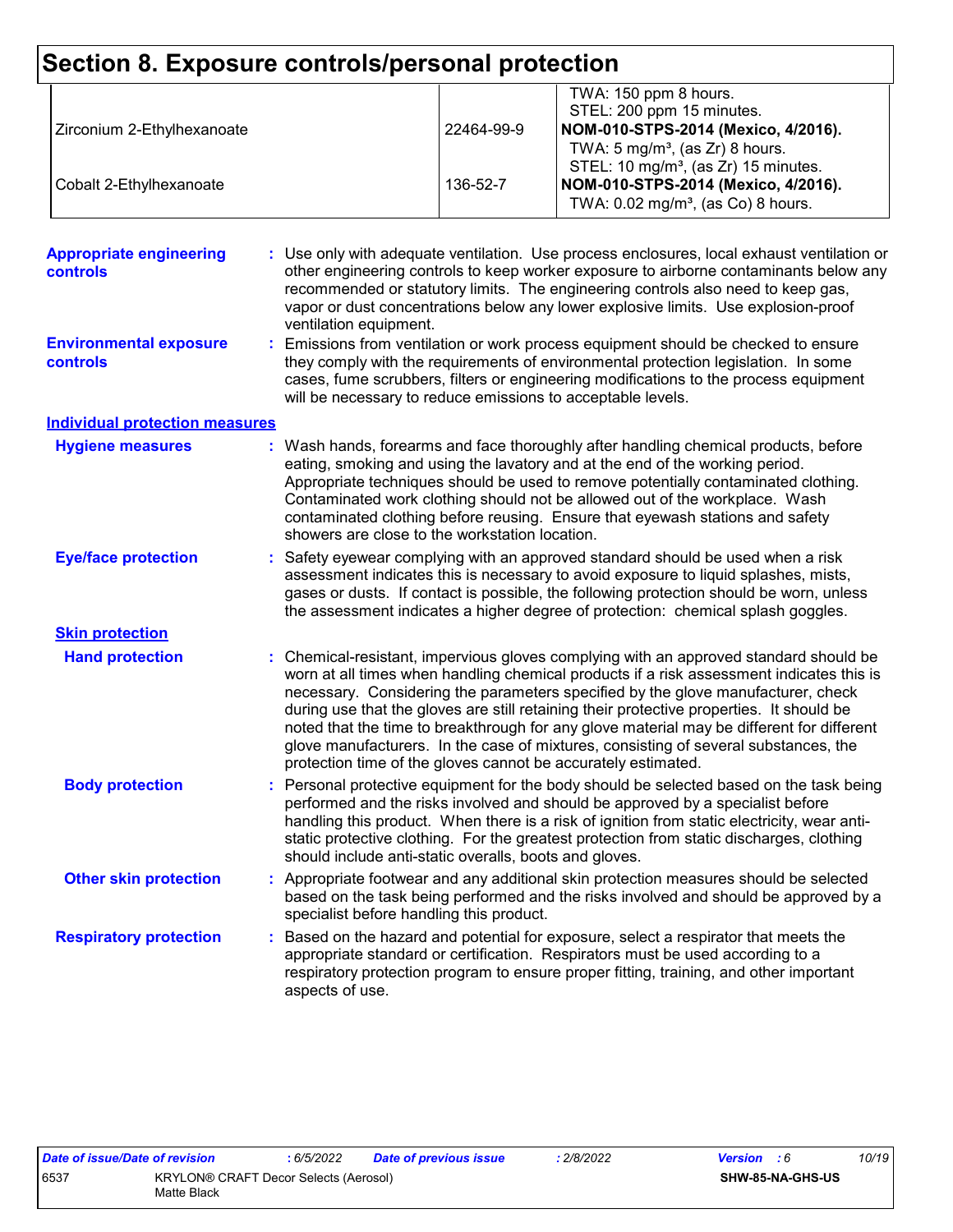| Section 8. Exposure controls/personal protection |                                                             |            |                                                                                                                                                                                                                                                                                                                                                                                                                                                                                                                                                                                                                        |
|--------------------------------------------------|-------------------------------------------------------------|------------|------------------------------------------------------------------------------------------------------------------------------------------------------------------------------------------------------------------------------------------------------------------------------------------------------------------------------------------------------------------------------------------------------------------------------------------------------------------------------------------------------------------------------------------------------------------------------------------------------------------------|
| Zirconium 2-Ethylhexanoate                       |                                                             | 22464-99-9 | TWA: 150 ppm 8 hours.<br>STEL: 200 ppm 15 minutes.<br>NOM-010-STPS-2014 (Mexico, 4/2016).<br>TWA: $5 \text{ mg/m}^3$ , (as Zr) 8 hours.                                                                                                                                                                                                                                                                                                                                                                                                                                                                                |
| Cobalt 2-Ethylhexanoate                          |                                                             | 136-52-7   | STEL: 10 mg/m <sup>3</sup> , (as Zr) 15 minutes.<br>NOM-010-STPS-2014 (Mexico, 4/2016).<br>TWA: 0.02 mg/m <sup>3</sup> , (as Co) 8 hours.                                                                                                                                                                                                                                                                                                                                                                                                                                                                              |
| <b>Appropriate engineering</b><br>controls       | ventilation equipment.                                      |            | Use only with adequate ventilation. Use process enclosures, local exhaust ventilation or<br>other engineering controls to keep worker exposure to airborne contaminants below any<br>recommended or statutory limits. The engineering controls also need to keep gas,<br>vapor or dust concentrations below any lower explosive limits. Use explosion-proof                                                                                                                                                                                                                                                            |
| <b>Environmental exposure</b><br><b>controls</b> | will be necessary to reduce emissions to acceptable levels. |            | Emissions from ventilation or work process equipment should be checked to ensure<br>they comply with the requirements of environmental protection legislation. In some<br>cases, fume scrubbers, filters or engineering modifications to the process equipment                                                                                                                                                                                                                                                                                                                                                         |
| <b>Individual protection measures</b>            |                                                             |            |                                                                                                                                                                                                                                                                                                                                                                                                                                                                                                                                                                                                                        |
| <b>Hygiene measures</b>                          | showers are close to the workstation location.              |            | : Wash hands, forearms and face thoroughly after handling chemical products, before<br>eating, smoking and using the lavatory and at the end of the working period.<br>Appropriate techniques should be used to remove potentially contaminated clothing.<br>Contaminated work clothing should not be allowed out of the workplace. Wash<br>contaminated clothing before reusing. Ensure that eyewash stations and safety                                                                                                                                                                                              |
| <b>Eye/face protection</b>                       |                                                             |            | Safety eyewear complying with an approved standard should be used when a risk<br>assessment indicates this is necessary to avoid exposure to liquid splashes, mists,<br>gases or dusts. If contact is possible, the following protection should be worn, unless<br>the assessment indicates a higher degree of protection: chemical splash goggles.                                                                                                                                                                                                                                                                    |
| <b>Skin protection</b>                           |                                                             |            |                                                                                                                                                                                                                                                                                                                                                                                                                                                                                                                                                                                                                        |
| <b>Hand protection</b>                           |                                                             |            | : Chemical-resistant, impervious gloves complying with an approved standard should be<br>worn at all times when handling chemical products if a risk assessment indicates this is<br>necessary. Considering the parameters specified by the glove manufacturer, check<br>during use that the gloves are still retaining their protective properties. It should be<br>noted that the time to breakthrough for any glove material may be different for different<br>glove manufacturers. In the case of mixtures, consisting of several substances, the<br>protection time of the gloves cannot be accurately estimated. |
| <b>Body protection</b>                           | should include anti-static overalls, boots and gloves.      |            | Personal protective equipment for the body should be selected based on the task being<br>performed and the risks involved and should be approved by a specialist before<br>handling this product. When there is a risk of ignition from static electricity, wear anti-<br>static protective clothing. For the greatest protection from static discharges, clothing                                                                                                                                                                                                                                                     |
| <b>Other skin protection</b>                     | specialist before handling this product.                    |            | : Appropriate footwear and any additional skin protection measures should be selected<br>based on the task being performed and the risks involved and should be approved by a                                                                                                                                                                                                                                                                                                                                                                                                                                          |
| <b>Respiratory protection</b>                    | aspects of use.                                             |            | Based on the hazard and potential for exposure, select a respirator that meets the<br>appropriate standard or certification. Respirators must be used according to a<br>respiratory protection program to ensure proper fitting, training, and other important                                                                                                                                                                                                                                                                                                                                                         |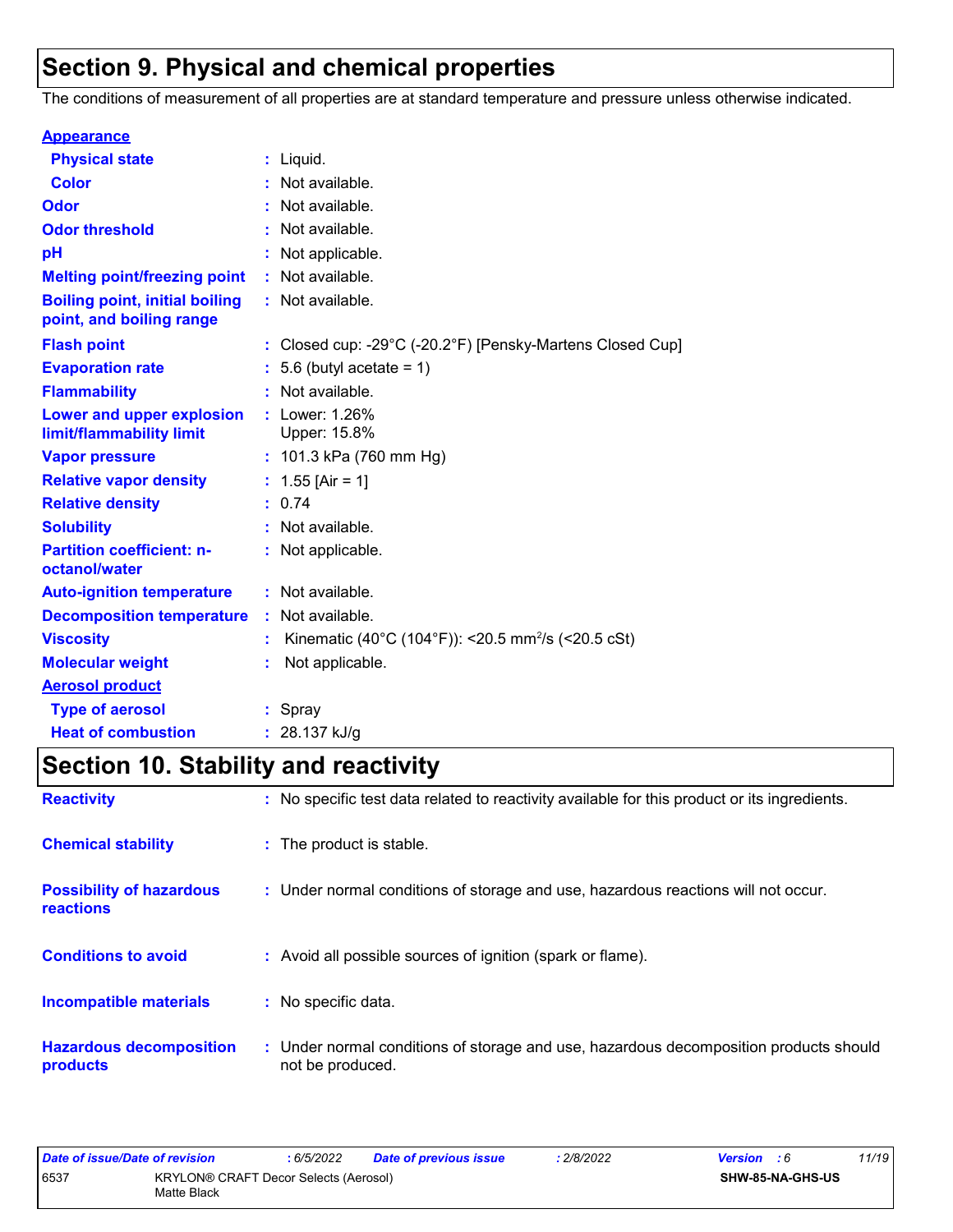## **Section 9. Physical and chemical properties**

The conditions of measurement of all properties are at standard temperature and pressure unless otherwise indicated.

| <b>Appearance</b>                                                 |    |                                                                                 |
|-------------------------------------------------------------------|----|---------------------------------------------------------------------------------|
| <b>Physical state</b>                                             |    | $:$ Liquid.                                                                     |
| <b>Color</b>                                                      |    | Not available.                                                                  |
| Odor                                                              |    | Not available.                                                                  |
| <b>Odor threshold</b>                                             |    | Not available.                                                                  |
| pH                                                                |    | Not applicable.                                                                 |
| <b>Melting point/freezing point</b>                               |    | Not available.                                                                  |
| <b>Boiling point, initial boiling</b><br>point, and boiling range |    | : Not available.                                                                |
| <b>Flash point</b>                                                |    | : Closed cup: -29 $^{\circ}$ C (-20.2 $^{\circ}$ F) [Pensky-Martens Closed Cup] |
| <b>Evaporation rate</b>                                           |    | 5.6 (butyl acetate = $1$ )                                                      |
| <b>Flammability</b>                                               |    | Not available.                                                                  |
| Lower and upper explosion<br>limit/flammability limit             |    | : Lower: 1.26%<br>Upper: 15.8%                                                  |
| <b>Vapor pressure</b>                                             |    | : $101.3$ kPa (760 mm Hg)                                                       |
| <b>Relative vapor density</b>                                     |    | : $1.55$ [Air = 1]                                                              |
| <b>Relative density</b>                                           |    | : 0.74                                                                          |
| <b>Solubility</b>                                                 |    | : Not available.                                                                |
| <b>Partition coefficient: n-</b><br>octanol/water                 |    | : Not applicable.                                                               |
| <b>Auto-ignition temperature</b>                                  |    | : Not available.                                                                |
| <b>Decomposition temperature</b>                                  | ÷. | Not available.                                                                  |
| <b>Viscosity</b>                                                  |    | Kinematic (40°C (104°F)): <20.5 mm <sup>2</sup> /s (<20.5 cSt)                  |
| <b>Molecular weight</b>                                           |    | Not applicable.                                                                 |
| <b>Aerosol product</b>                                            |    |                                                                                 |
| <b>Type of aerosol</b>                                            |    | : Spray                                                                         |
| <b>Heat of combustion</b>                                         |    | : $28.137$ kJ/g                                                                 |

## **Section 10. Stability and reactivity**

| <b>Reactivity</b>                                   | : No specific test data related to reactivity available for this product or its ingredients.              |
|-----------------------------------------------------|-----------------------------------------------------------------------------------------------------------|
| <b>Chemical stability</b>                           | : The product is stable.                                                                                  |
| <b>Possibility of hazardous</b><br><b>reactions</b> | : Under normal conditions of storage and use, hazardous reactions will not occur.                         |
| <b>Conditions to avoid</b>                          | : Avoid all possible sources of ignition (spark or flame).                                                |
| <b>Incompatible materials</b>                       | : No specific data.                                                                                       |
| <b>Hazardous decomposition</b><br>products          | : Under normal conditions of storage and use, hazardous decomposition products should<br>not be produced. |

| Date of issue/Date of revision |                                                      | 6/5/2022 | <b>Date of previous issue</b> | .2/8/2022 | <b>Version</b> : 6      |  | 11/19 |
|--------------------------------|------------------------------------------------------|----------|-------------------------------|-----------|-------------------------|--|-------|
| 6537                           | KRYLON® CRAFT Decor Selects (Aerosol)<br>Matte Black |          |                               |           | <b>SHW-85-NA-GHS-US</b> |  |       |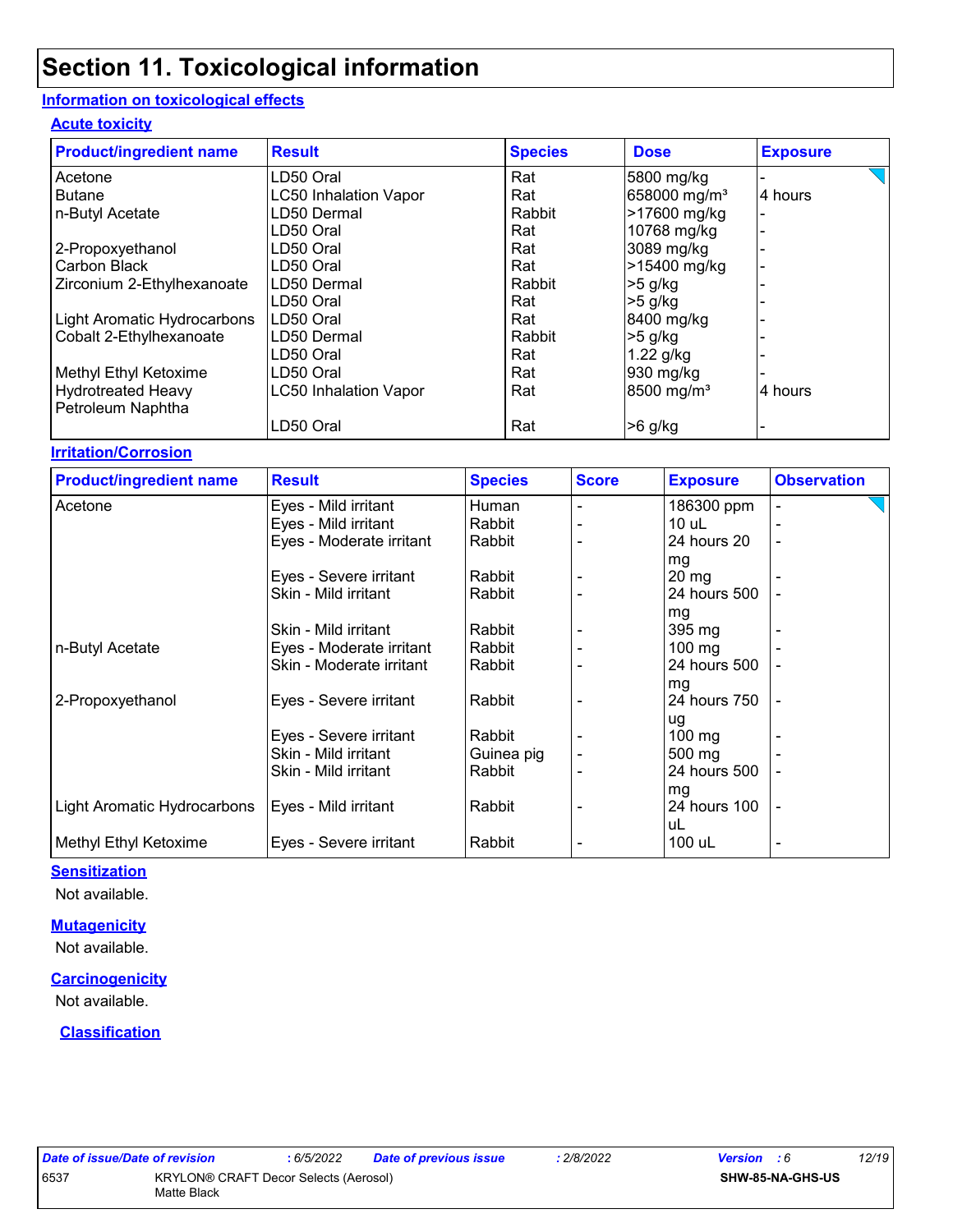#### **Information on toxicological effects**

#### **Acute toxicity**

| <b>Product/ingredient name</b> | <b>Result</b>                | <b>Species</b> | <b>Dose</b>              | <b>Exposure</b> |
|--------------------------------|------------------------------|----------------|--------------------------|-----------------|
| Acetone                        | LD50 Oral                    | Rat            | 5800 mg/kg               |                 |
| <b>Butane</b>                  | <b>LC50 Inhalation Vapor</b> | Rat            | 658000 mg/m <sup>3</sup> | 4 hours         |
| n-Butyl Acetate                | LD50 Dermal                  | Rabbit         | >17600 mg/kg             |                 |
|                                | LD50 Oral                    | Rat            | 10768 mg/kg              |                 |
| 2-Propoxyethanol               | LD50 Oral                    | Rat            | 3089 mg/kg               |                 |
| Carbon Black                   | LD50 Oral                    | Rat            | >15400 mg/kg             |                 |
| Zirconium 2-Ethylhexanoate     | LD50 Dermal                  | Rabbit         | $>5$ g/kg                |                 |
|                                | LD50 Oral                    | Rat            | $>5$ g/kg                |                 |
| Light Aromatic Hydrocarbons    | LD50 Oral                    | Rat            | 8400 mg/kg               |                 |
| Cobalt 2-Ethylhexanoate        | LD50 Dermal                  | Rabbit         | $>5$ g/kg                |                 |
|                                | LD50 Oral                    | Rat            | $1.22$ g/kg              |                 |
| Methyl Ethyl Ketoxime          | LD50 Oral                    | Rat            | 930 mg/kg                |                 |
| <b>Hydrotreated Heavy</b>      | <b>LC50 Inhalation Vapor</b> | Rat            | 8500 mg/m <sup>3</sup>   | 4 hours         |
| Petroleum Naphtha              | LD50 Oral                    | Rat            | $>6$ g/kg                |                 |

#### **Irritation/Corrosion**

| <b>Product/ingredient name</b> | <b>Result</b>            | <b>Species</b> | <b>Score</b> | <b>Exposure</b>  | <b>Observation</b>       |
|--------------------------------|--------------------------|----------------|--------------|------------------|--------------------------|
| Acetone                        | Eyes - Mild irritant     | Human          |              | 186300 ppm       | ٠                        |
|                                | Eyes - Mild irritant     | Rabbit         |              | 10 uL            |                          |
|                                | Eyes - Moderate irritant | Rabbit         |              | 24 hours 20      | ۰                        |
|                                |                          |                |              | mg               |                          |
|                                | Eyes - Severe irritant   | Rabbit         |              | $20 \, mg$       |                          |
|                                | Skin - Mild irritant     | Rabbit         |              | 24 hours 500     |                          |
|                                |                          |                |              | mg               |                          |
|                                | Skin - Mild irritant     | Rabbit         |              | 395 mg           |                          |
| n-Butyl Acetate                | Eyes - Moderate irritant | Rabbit         |              | $100 \text{ mg}$ |                          |
|                                | Skin - Moderate irritant | Rabbit         |              | 24 hours 500     |                          |
|                                |                          |                |              | mg               |                          |
| 2-Propoxyethanol               | Eyes - Severe irritant   | Rabbit         |              | 24 hours 750     |                          |
|                                |                          |                |              | ug               |                          |
|                                | Eyes - Severe irritant   | Rabbit         |              | $100 \text{ mg}$ |                          |
|                                | Skin - Mild irritant     | Guinea pig     |              | $500 \text{ mg}$ |                          |
|                                | Skin - Mild irritant     | Rabbit         |              | 24 hours 500     |                          |
|                                |                          |                |              | mg               |                          |
| Light Aromatic Hydrocarbons    | Eyes - Mild irritant     | Rabbit         |              | 24 hours 100     |                          |
|                                |                          |                |              | uL               |                          |
| Methyl Ethyl Ketoxime          | Eyes - Severe irritant   | Rabbit         |              | 100 uL           | $\overline{\phantom{a}}$ |

#### **Sensitization**

Not available.

#### **Mutagenicity**

Not available.

#### **Carcinogenicity**

Not available.

#### **Classification**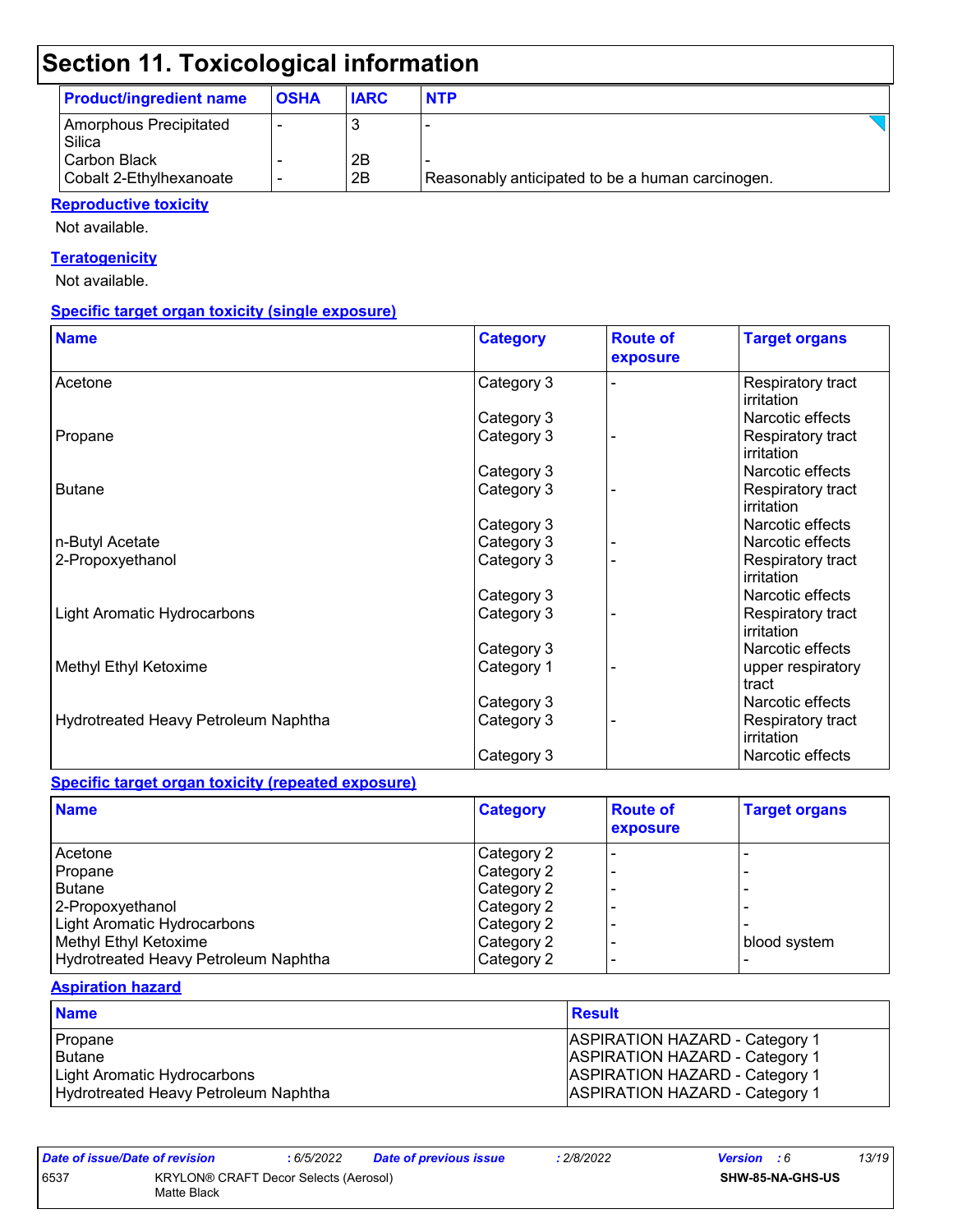| <b>Product/ingredient name</b>          | <b>OSHA</b> | <b>IARC</b> | <b>NTP</b>                                       |  |
|-----------------------------------------|-------------|-------------|--------------------------------------------------|--|
| Amorphous Precipitated<br>Silica        |             |             |                                                  |  |
| Carbon Black<br>Cobalt 2-Ethylhexanoate |             | 2B<br>2B    | Reasonably anticipated to be a human carcinogen. |  |

#### **Reproductive toxicity**

Not available.

#### **Teratogenicity**

Not available.

#### **Specific target organ toxicity (single exposure)**

| <b>Name</b>                          | <b>Category</b> | <b>Route of</b><br>exposure | <b>Target organs</b>            |
|--------------------------------------|-----------------|-----------------------------|---------------------------------|
| Acetone                              | Category 3      |                             | Respiratory tract<br>irritation |
|                                      | Category 3      |                             | Narcotic effects                |
| Propane                              | Category 3      |                             | Respiratory tract<br>irritation |
|                                      | Category 3      |                             | Narcotic effects                |
| <b>Butane</b>                        | Category 3      |                             | Respiratory tract<br>irritation |
|                                      | Category 3      |                             | Narcotic effects                |
| n-Butyl Acetate                      | Category 3      |                             | Narcotic effects                |
| 2-Propoxyethanol                     | Category 3      |                             | Respiratory tract<br>irritation |
|                                      | Category 3      |                             | Narcotic effects                |
| <b>Light Aromatic Hydrocarbons</b>   | Category 3      |                             | Respiratory tract<br>irritation |
|                                      | Category 3      |                             | Narcotic effects                |
| Methyl Ethyl Ketoxime                | Category 1      |                             | upper respiratory<br>tract      |
|                                      | Category 3      |                             | Narcotic effects                |
| Hydrotreated Heavy Petroleum Naphtha | Category 3      |                             | Respiratory tract<br>irritation |
|                                      | Category 3      |                             | Narcotic effects                |

#### **Specific target organ toxicity (repeated exposure)**

| <b>Name</b>                          | <b>Category</b> | <b>Route of</b><br>exposure | <b>Target organs</b> |
|--------------------------------------|-----------------|-----------------------------|----------------------|
| Acetone                              | Category 2      |                             |                      |
| Propane                              | Category 2      |                             |                      |
| l Butane                             | Category 2      |                             |                      |
| 2-Propoxyethanol                     | Category 2      |                             |                      |
| <b>Light Aromatic Hydrocarbons</b>   | Category 2      |                             |                      |
| Methyl Ethyl Ketoxime                | Category 2      |                             | blood system         |
| Hydrotreated Heavy Petroleum Naphtha | Category 2      |                             |                      |

#### **Aspiration hazard**

| <b>Name</b>                          | Result                                |
|--------------------------------------|---------------------------------------|
| Propane                              | <b>ASPIRATION HAZARD - Category 1</b> |
| Butane                               | <b>ASPIRATION HAZARD - Category 1</b> |
| Light Aromatic Hydrocarbons          | <b>ASPIRATION HAZARD - Category 1</b> |
| Hydrotreated Heavy Petroleum Naphtha | <b>ASPIRATION HAZARD - Category 1</b> |

| Date of issue/Date of revision                               |  | : 6/5/2022 | <b>Date of previous issue</b> | : 2/8/2022 | <b>Version</b> : 6 |  | 13/19 |
|--------------------------------------------------------------|--|------------|-------------------------------|------------|--------------------|--|-------|
| 6537<br>KRYLON® CRAFT Decor Selects (Aerosol)<br>Matte Black |  |            |                               |            | SHW-85-NA-GHS-US   |  |       |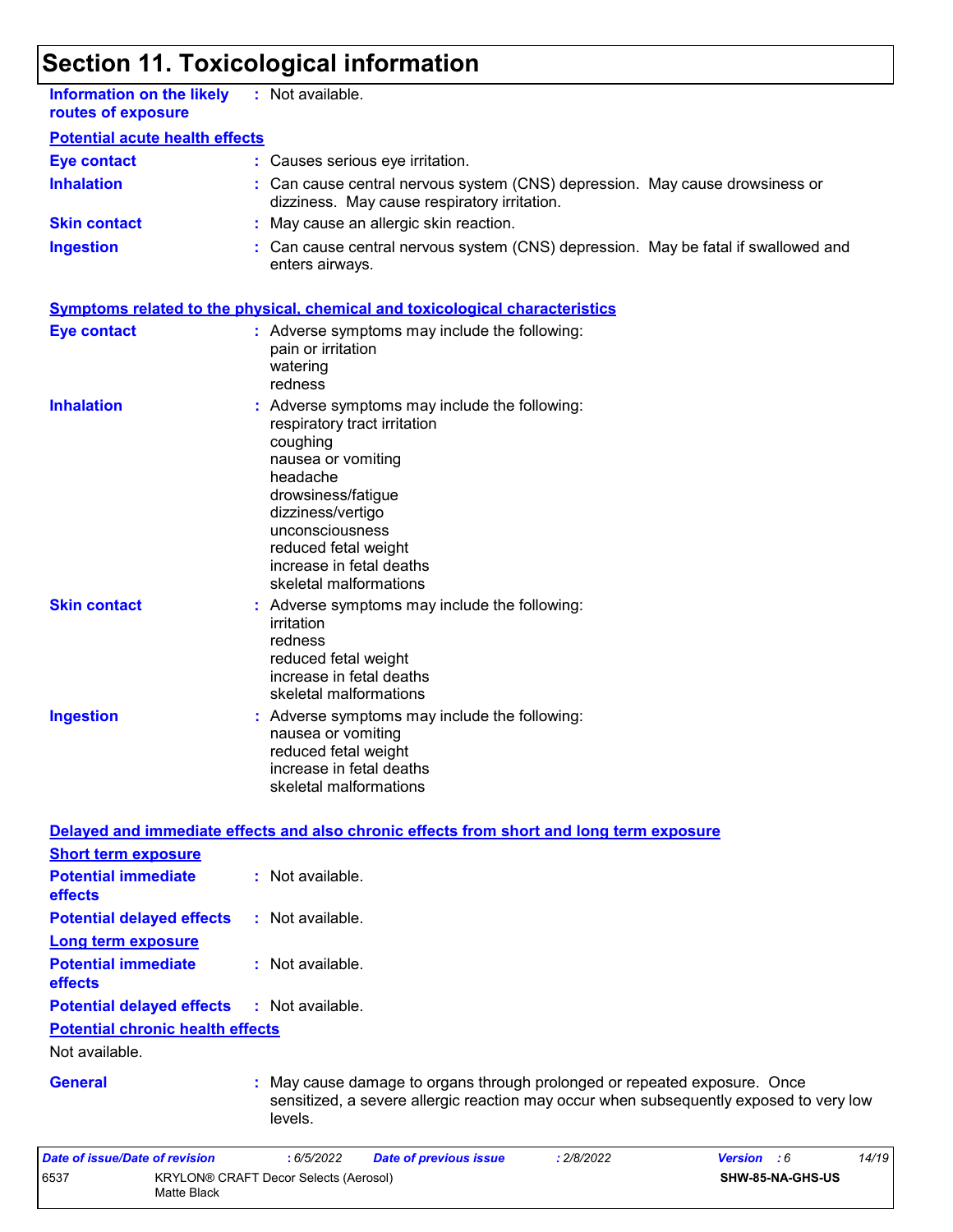Matte Black

| <b>Information on the likely</b><br>routes of exposure        | : Not available.                                                                                                                                                                                                                                                      |
|---------------------------------------------------------------|-----------------------------------------------------------------------------------------------------------------------------------------------------------------------------------------------------------------------------------------------------------------------|
| <b>Potential acute health effects</b>                         |                                                                                                                                                                                                                                                                       |
| <b>Eye contact</b>                                            | : Causes serious eye irritation.                                                                                                                                                                                                                                      |
| <b>Inhalation</b>                                             | Can cause central nervous system (CNS) depression. May cause drowsiness or<br>dizziness. May cause respiratory irritation.                                                                                                                                            |
| <b>Skin contact</b>                                           | : May cause an allergic skin reaction.                                                                                                                                                                                                                                |
| <b>Ingestion</b>                                              | Can cause central nervous system (CNS) depression. May be fatal if swallowed and<br>enters airways.                                                                                                                                                                   |
|                                                               | <b>Symptoms related to the physical, chemical and toxicological characteristics</b>                                                                                                                                                                                   |
| <b>Eye contact</b>                                            | : Adverse symptoms may include the following:<br>pain or irritation<br>watering<br>redness                                                                                                                                                                            |
| <b>Inhalation</b>                                             | Adverse symptoms may include the following:<br>respiratory tract irritation<br>coughing<br>nausea or vomiting<br>headache<br>drowsiness/fatigue<br>dizziness/vertigo<br>unconsciousness<br>reduced fetal weight<br>increase in fetal deaths<br>skeletal malformations |
| <b>Skin contact</b>                                           | Adverse symptoms may include the following:<br>irritation<br>redness<br>reduced fetal weight<br>increase in fetal deaths<br>skeletal malformations                                                                                                                    |
| <b>Ingestion</b>                                              | Adverse symptoms may include the following:<br>nausea or vomiting<br>reduced fetal weight<br>increase in fetal deaths<br>skeletal malformations                                                                                                                       |
|                                                               | Delayed and immediate effects and also chronic effects from short and long term exposure                                                                                                                                                                              |
| <b>Short term exposure</b>                                    |                                                                                                                                                                                                                                                                       |
| <b>Potential immediate</b><br>effects                         | : Not available.                                                                                                                                                                                                                                                      |
| <b>Potential delayed effects</b><br><b>Long term exposure</b> | : Not available.                                                                                                                                                                                                                                                      |
| <b>Potential immediate</b><br>effects                         | : Not available.                                                                                                                                                                                                                                                      |
| <b>Potential delayed effects</b>                              | : Not available.                                                                                                                                                                                                                                                      |
| <b>Potential chronic health effects</b><br>Not available.     |                                                                                                                                                                                                                                                                       |
| <b>General</b>                                                | May cause damage to organs through prolonged or repeated exposure. Once<br>sensitized, a severe allergic reaction may occur when subsequently exposed to very low<br>levels.                                                                                          |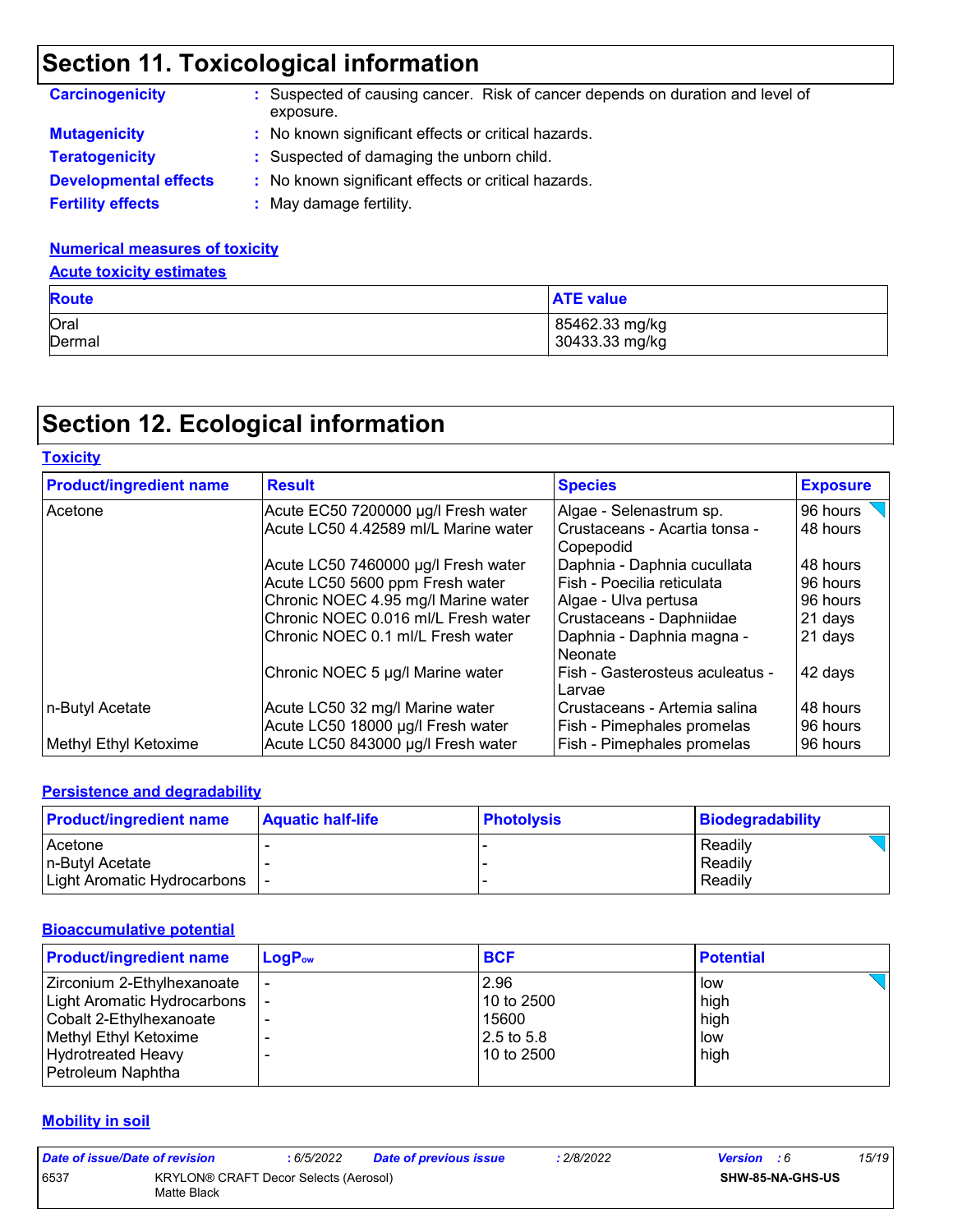| <b>Carcinogenicity</b>       | : Suspected of causing cancer. Risk of cancer depends on duration and level of<br>exposure. |
|------------------------------|---------------------------------------------------------------------------------------------|
| <b>Mutagenicity</b>          | : No known significant effects or critical hazards.                                         |
| <b>Teratogenicity</b>        | : Suspected of damaging the unborn child.                                                   |
| <b>Developmental effects</b> | : No known significant effects or critical hazards.                                         |
| <b>Fertility effects</b>     | May damage fertility.                                                                       |

#### **Numerical measures of toxicity**

#### **Acute toxicity estimates**

| <b>Route</b> | <b>ATE value</b> |
|--------------|------------------|
| Oral         | 85462.33 mg/kg   |
| Dermal       | 30433.33 mg/kg   |

## **Section 12. Ecological information**

| <b>Toxicity</b>                |                                                                      |                                                            |                      |
|--------------------------------|----------------------------------------------------------------------|------------------------------------------------------------|----------------------|
| <b>Product/ingredient name</b> | <b>Result</b>                                                        | <b>Species</b>                                             | <b>Exposure</b>      |
| Acetone                        | Acute EC50 7200000 µg/l Fresh water                                  | Algae - Selenastrum sp.                                    | 96 hours             |
|                                | Acute LC50 4.42589 ml/L Marine water                                 | l Crustaceans - Acartia tonsa -<br>l Copepodid             | 48 hours             |
|                                | Acute LC50 7460000 µg/l Fresh water                                  | Daphnia - Daphnia cucullata                                | 48 hours             |
|                                | Acute LC50 5600 ppm Fresh water                                      | l Fish - Poecilia reticulata                               | 96 hours             |
|                                | Chronic NOEC 4.95 mg/l Marine water                                  | Algae - Ulva pertusa                                       | 96 hours             |
|                                | Chronic NOEC 0.016 ml/L Fresh water                                  | Crustaceans - Daphniidae                                   | 21 days              |
|                                | Chronic NOEC 0.1 ml/L Fresh water                                    | Daphnia - Daphnia magna -<br><b>Neonate</b>                | 21 days              |
|                                | Chronic NOEC 5 µg/l Marine water                                     | Fish - Gasterosteus aculeatus -<br>Larvae                  | 42 days              |
| n-Butyl Acetate                | Acute LC50 32 mg/l Marine water<br>Acute LC50 18000 µg/l Fresh water | Crustaceans - Artemia salina<br>Fish - Pimephales promelas | 48 hours<br>96 hours |
| Methyl Ethyl Ketoxime          | Acute LC50 843000 µg/l Fresh water                                   | <b>Fish - Pimephales promelas</b>                          | 96 hours             |

#### **Persistence and degradability**

| <b>Product/ingredient name</b>  | <b>Aquatic half-life</b> | <b>Photolysis</b> | Biodegradability |
|---------------------------------|--------------------------|-------------------|------------------|
| Acetone                         |                          |                   | Readily          |
| l n-Butvl Acetate               |                          |                   | Readily          |
| Light Aromatic Hydrocarbons   - |                          |                   | Readily          |

#### **Bioaccumulative potential**

| <b>Product/ingredient name</b>                                                                                                                                  | $LogP_{ow}$ | <b>BCF</b>                                                | <b>Potential</b>                   |
|-----------------------------------------------------------------------------------------------------------------------------------------------------------------|-------------|-----------------------------------------------------------|------------------------------------|
| Zirconium 2-Ethylhexanoate<br>Light Aromatic Hydrocarbons<br>Cobalt 2-Ethylhexanoate<br>Methyl Ethyl Ketoxime<br><b>Hydrotreated Heavy</b><br>Petroleum Naphtha |             | 2.96<br>10 to 2500<br>15600<br>$2.5$ to 5.8<br>10 to 2500 | low<br>high<br>high<br>low<br>high |

#### **Mobility in soil**

| Date of issue/Date of revision |                                                      | : 6/5/2022 | <b>Date of previous issue</b> | : 2/8/2022 | <b>Version</b> : 6 |                  | 15/19 |
|--------------------------------|------------------------------------------------------|------------|-------------------------------|------------|--------------------|------------------|-------|
| 6537                           | KRYLON® CRAFT Decor Selects (Aerosol)<br>Matte Black |            |                               |            |                    | SHW-85-NA-GHS-US |       |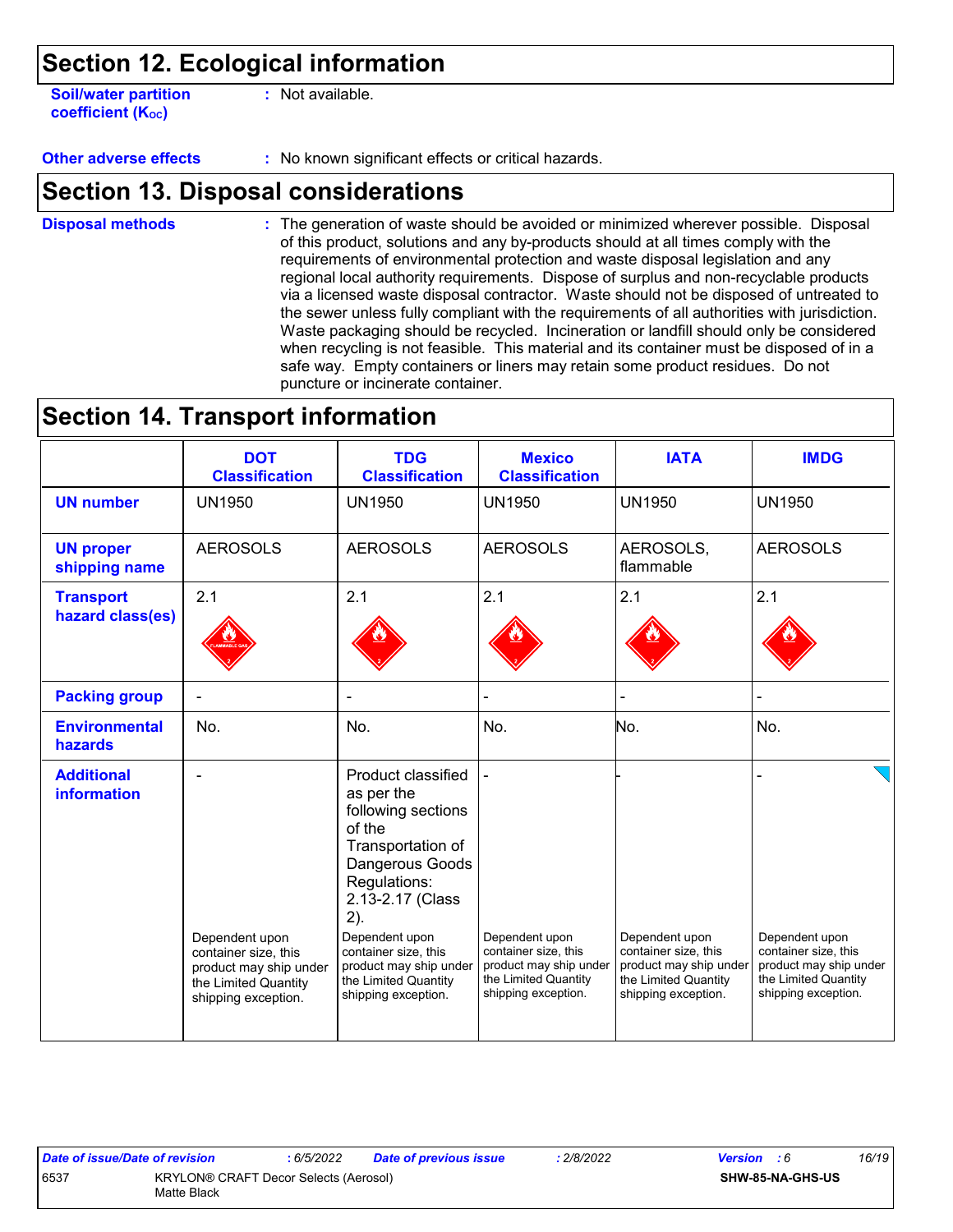**Soil/water partition coefficient (Koc)** 

**:** Not available.

**Other adverse effects** : No known significant effects or critical hazards.

### **Section 13. Disposal considerations**

The generation of waste should be avoided or minimized wherever possible. Disposal of this product, solutions and any by-products should at all times comply with the requirements of environmental protection and waste disposal legislation and any regional local authority requirements. Dispose of surplus and non-recyclable products via a licensed waste disposal contractor. Waste should not be disposed of untreated to the sewer unless fully compliant with the requirements of all authorities with jurisdiction. Waste packaging should be recycled. Incineration or landfill should only be considered when recycling is not feasible. This material and its container must be disposed of in a safe way. Empty containers or liners may retain some product residues. Do not puncture or incinerate container. **Disposal methods :**

### **Section 14. Transport information**

|                                         | <b>DOT</b><br><b>Classification</b>                                   | <b>TDG</b><br><b>Classification</b>                                                                                                                                                           | <b>Mexico</b><br><b>Classification</b>                                | <b>IATA</b>                                                           | <b>IMDG</b>                                                           |
|-----------------------------------------|-----------------------------------------------------------------------|-----------------------------------------------------------------------------------------------------------------------------------------------------------------------------------------------|-----------------------------------------------------------------------|-----------------------------------------------------------------------|-----------------------------------------------------------------------|
| <b>UN number</b>                        | <b>UN1950</b>                                                         | <b>UN1950</b>                                                                                                                                                                                 | <b>UN1950</b>                                                         | <b>UN1950</b>                                                         | <b>UN1950</b>                                                         |
| <b>UN proper</b><br>shipping name       | <b>AEROSOLS</b>                                                       | <b>AEROSOLS</b>                                                                                                                                                                               | <b>AEROSOLS</b>                                                       | AEROSOLS,<br>flammable                                                | <b>AEROSOLS</b>                                                       |
| <b>Transport</b><br>hazard class(es)    | 2.1                                                                   | 2.1                                                                                                                                                                                           | 2.1                                                                   | 2.1                                                                   | 2.1                                                                   |
| <b>Packing group</b>                    |                                                                       |                                                                                                                                                                                               |                                                                       |                                                                       |                                                                       |
| <b>Environmental</b><br>hazards         | No.                                                                   | No.                                                                                                                                                                                           | No.                                                                   | No.                                                                   | No.                                                                   |
| <b>Additional</b><br><b>information</b> | Dependent upon<br>container size, this                                | Product classified<br>as per the<br>following sections<br>of the<br>Transportation of<br>Dangerous Goods<br>Regulations:<br>2.13-2.17 (Class<br>2).<br>Dependent upon<br>container size, this | Dependent upon<br>container size, this                                | Dependent upon<br>container size, this                                | Dependent upon<br>container size, this                                |
|                                         | product may ship under<br>the Limited Quantity<br>shipping exception. | product may ship under<br>the Limited Quantity<br>shipping exception.                                                                                                                         | product may ship under<br>the Limited Quantity<br>shipping exception. | product may ship under<br>the Limited Quantity<br>shipping exception. | product may ship under<br>the Limited Quantity<br>shipping exception. |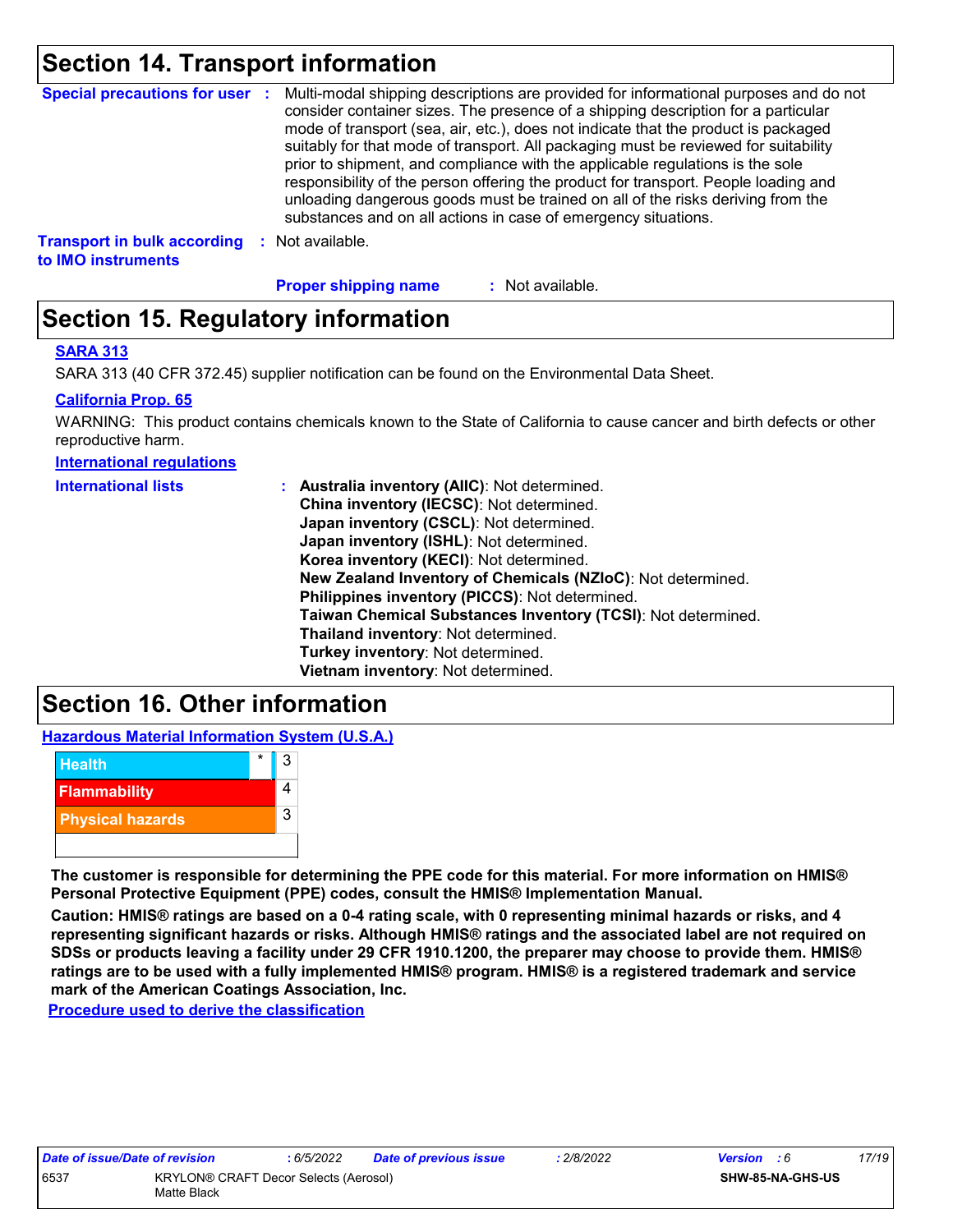## **Section 14. Transport information**

|                                                          |      | Special precautions for user : Multi-modal shipping descriptions are provided for informational purposes and do not<br>consider container sizes. The presence of a shipping description for a particular<br>mode of transport (sea, air, etc.), does not indicate that the product is packaged<br>suitably for that mode of transport. All packaging must be reviewed for suitability<br>prior to shipment, and compliance with the applicable regulations is the sole<br>responsibility of the person offering the product for transport. People loading and<br>unloading dangerous goods must be trained on all of the risks deriving from the<br>substances and on all actions in case of emergency situations. |
|----------------------------------------------------------|------|--------------------------------------------------------------------------------------------------------------------------------------------------------------------------------------------------------------------------------------------------------------------------------------------------------------------------------------------------------------------------------------------------------------------------------------------------------------------------------------------------------------------------------------------------------------------------------------------------------------------------------------------------------------------------------------------------------------------|
| <b>Transport in bulk according</b><br>to IMO instruments | - 50 | Not available.                                                                                                                                                                                                                                                                                                                                                                                                                                                                                                                                                                                                                                                                                                     |

**Proper shipping name :**

: Not available.

## **Section 15. Regulatory information**

#### **SARA 313**

SARA 313 (40 CFR 372.45) supplier notification can be found on the Environmental Data Sheet.

#### **California Prop. 65**

WARNING: This product contains chemicals known to the State of California to cause cancer and birth defects or other reproductive harm.

**International regulations**

| <b>International lists</b> | : Australia inventory (AIIC): Not determined.<br>China inventory (IECSC): Not determined.<br>Japan inventory (CSCL): Not determined.<br>Japan inventory (ISHL): Not determined.<br>Korea inventory (KECI): Not determined.<br>New Zealand Inventory of Chemicals (NZIoC): Not determined.<br>Philippines inventory (PICCS): Not determined.<br>Taiwan Chemical Substances Inventory (TCSI): Not determined.<br>Thailand inventory: Not determined. |
|----------------------------|----------------------------------------------------------------------------------------------------------------------------------------------------------------------------------------------------------------------------------------------------------------------------------------------------------------------------------------------------------------------------------------------------------------------------------------------------|
|                            | Turkey inventory: Not determined.                                                                                                                                                                                                                                                                                                                                                                                                                  |
|                            | Vietnam inventory: Not determined.                                                                                                                                                                                                                                                                                                                                                                                                                 |

## **Section 16. Other information**

**Hazardous Material Information System (U.S.A.)**



**The customer is responsible for determining the PPE code for this material. For more information on HMIS® Personal Protective Equipment (PPE) codes, consult the HMIS® Implementation Manual.**

**Caution: HMIS® ratings are based on a 0-4 rating scale, with 0 representing minimal hazards or risks, and 4 representing significant hazards or risks. Although HMIS® ratings and the associated label are not required on SDSs or products leaving a facility under 29 CFR 1910.1200, the preparer may choose to provide them. HMIS® ratings are to be used with a fully implemented HMIS® program. HMIS® is a registered trademark and service mark of the American Coatings Association, Inc.**

**Procedure used to derive the classification**